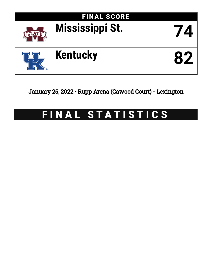

January 25, 2022 • Rupp Arena (Cawood Court) - Lexington

# FINAL STATISTICS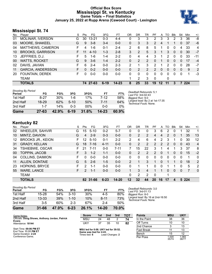### **Official Box Score Mississippi St. vs Kentucky Game Totals -- Final Statistics January 25, 2022 at Rupp Arena (Cawood Court) - Lexington**



### **Mississippi St. 74**

| No. | Plaver                   | S  | <b>Pts</b> | FG        | 3FG      | FT        | ΟR | DR             | TR                    | PF            | A               | TO | <b>B</b> lk  | Stl      | Min | $+/-$ |
|-----|--------------------------|----|------------|-----------|----------|-----------|----|----------------|-----------------------|---------------|-----------------|----|--------------|----------|-----|-------|
| 01  | <b>MOLINAR, IVERSON</b>  | G  | 30         | $13 - 21$ | $0 - 3$  | $4 - 4$   | 0  | 3              | 3                     | 2             | 3               | 3  | 2            | 3        | 36  | -8    |
| 03  | MOORE, SHAKEEL           | G  | 9          | $3 - 8$   | $3 - 4$  | $0 - 0$   | 0  | 3              | 3                     | $\mathcal{P}$ | 4               |    |              | 0        | 37  | -6    |
| 04  | MATTHEWS, CAMERON        | F  | 4          | $1-6$     | $0 - 1$  | $2 - 4$   | 2  | 6              | 8                     | 5             |                 | 0  | 0            | 4        | 33  | 4     |
| 10  | <b>BROOKS, GARRISON</b>  | F. | 11         | $4 - 10$  | $1 - 3$  | $2 - 8$   | 3  | $\overline{2}$ | 5                     | 3             | 1               | 3  | $\mathbf{0}$ | $\Omega$ | 30  | $-7$  |
| 13  | JEFFRIES, D.J.           | F  | 5          | 1-6       | $1 - 4$  | $2 - 2$   | 0  | 4              | 4                     | 3             | 1               | 2  | 0            | 0        | 33  | -11   |
| 00  | <b>WATTS, ROCKET</b>     | G  | 9          | $3-6$     | $1 - 4$  | $2 - 2$   | 0  | 2              | $\overline{2}$        | 0             | 1               | 0  | $\Omega$     | 0        | 17  | -4    |
| 02  | DAVIS, JAVIAN            | F  | 6          | $2 - 4$   | $0 - 0$  | $2 - 3$   | 2  |                | 3                     | 2             |                 | 2  | 0            | 0        | 28  | $-7$  |
| 11  | <b>GARCIA, ANDERSSON</b> | F. | $\Omega$   | $0 - 2$   | $0 - 0$  | $0 - 0$   | 0  | $\overline{2}$ | $\mathbf{2}^{\prime}$ | 2             | $\Omega$        | 0  | $\mathbf{0}$ | 0        | 9   | 2     |
| 20  | FOUNTAIN, DEREK          | F. | $\Omega$   | $0 - 0$   | $0 - 0$  | $0-0$     | 0  | 0              | 0                     | $\Omega$      | 0               | 0  | 0            | 0        |     | $-3$  |
|     | TEAM                     |    |            |           |          |           |    | 2              | 3                     | $\Omega$      |                 | 0  |              |          |     |       |
|     | <b>TOTALS</b>            |    |            | 74 27-63  | $6 - 19$ | $14 - 23$ | 8  | 25             | 33                    | 19            | 12 <sup>1</sup> | 11 | 3            |          | 224 |       |

| <b>Shooting By Period</b><br>Period | FG       | FG%   | 3FG      | 3FG%   | FT        | FT%   | Deadball Rebounds: 5,1<br>Last FG: 3rd-02:43              |
|-------------------------------------|----------|-------|----------|--------|-----------|-------|-----------------------------------------------------------|
| 1st Half                            | $8 - 27$ | 30%   | 1-6      | 17%    | 7-12      | 58%   | Biggest Run: 9-0                                          |
| 2nd Half                            | 18-29    | 62%   | $5 - 10$ | 50%    | 7-11      | 64%   | Largest lead: By 2 at 1st-17:35<br>Technical Fouls: None. |
| 3rd Half                            | $1 - 7$  | 14%   | $0 - 3$  | $00\%$ | $0 - 0$   | $0\%$ |                                                           |
| Game                                | 27-63    | 42.9% | $6 - 19$ | 31.6%  | $14 - 23$ | 60.9% |                                                           |

### **Kentucky 82**

| No. | Plaver                   | S  | Pts           | FG.      | 3FG      | FT        | OR             | DR | TR       | PF            | A            | TO | <b>B</b> lk    | Stl      | Min  | $+/-$        |
|-----|--------------------------|----|---------------|----------|----------|-----------|----------------|----|----------|---------------|--------------|----|----------------|----------|------|--------------|
| 02  | WHEELER, SAHVIR          | G  | 15            | $5 - 10$ | $0 - 2$  | $5 - 7$   |                | 0  | 0        | 3             | 6            | 2  | 0              |          | 32   |              |
| 10  | MINTZ, DAVION            | G  | 4             | $2 - 9$  | $0 - 3$  | $0 - 0$   | 0              | 2  | 2        | 4             | 4            | 2  | $\overline{0}$ |          | 35   | 13           |
| 12  | <b>BROOKS JR., KEION</b> | F  | 12.           | $5 - 10$ | $0 - 1$  | $2 - 2$   | 2              | 4  | 6        | 4             | 2            | 3  |                | 0        | 30   | 12           |
| 31  | <b>GRADY, KELLAN</b>     | G  | 18            | 7-16     | $4 - 11$ | $0 - 0$   | 0              | 2  | 2        | $\mathcal{P}$ | 2            | 2  | $\Omega$       | $\Omega$ | 43   | 4            |
| 34  | TSHIEBWE, OSCAR          | F. | 21            | $7 - 11$ | $0 - 0$  | $7 - 11$  | 7              | 15 | 22       | 3             | 1            | 4  |                | 3        | 37   | 8            |
| 00  | <b>TOPPIN, JACOB</b>     | F. | 3             | $1 - 2$  | 1-1      | $0 - 0$   | 0              | 2  | 2        | $\mathcal{P}$ | $\mathbf{0}$ | 1  | $\mathbf{0}$   | $\Omega$ | 15   | $-2$         |
| 04  | <b>COLLINS, DAIMION</b>  | F. | 0             | $0 - 0$  | $0 - 0$  | $0 - 0$   | 0              | 0  | $\Omega$ | 0             | 0            | 0  | $\Omega$       | 0        |      | 0            |
| 11  | ALLEN, DONTAIE           | G  | 5             | $2 - 6$  | $1 - 5$  | $0 - 0$   | $\overline{2}$ |    | 3        |               | $\Omega$     |    |                | 0        | 18   | 2            |
| 23  | <b>HOPKINS, BRYCE</b>    | F. | 2             | $1 - 1$  | $0 - 0$  | $0 - 0$   | 0              |    |          | 0             | 0            |    |                | 0        | 5    | 2            |
| 55  | <b>WARE, LANCE</b>       | F  | $\mathcal{P}$ | $1 - 1$  | $0 - 0$  | $0 - 0$   |                | 3  | 4        |               |              | 0  | 0              | 0        | 7    | $\mathbf{0}$ |
|     | <b>TEAM</b>              |    |               |          |          |           | 0              | 2  | 2        | $\Omega$      |              |    |                |          |      |              |
|     | <b>TOTALS</b>            |    |               | 82 31-66 | $6 - 23$ | $14 - 20$ | 12             | 32 | 44       | 20            | 16           | 17 | 4              | 5        | -224 |              |

| Game                                | $31 - 66$ | 47.0% | $6 - 23$ | 26.1% | 14-20    | 70.0% |
|-------------------------------------|-----------|-------|----------|-------|----------|-------|
| 3rd Half                            | 3-5       | 60%   | $2-3$    | 67%   | $2 - 4$  | 50%   |
| 2nd Half                            | $13 - 33$ | 39%   | $1 - 10$ | 10%   | $8 - 11$ | 73%   |
| 1st Half                            | 15-28     | 54%   | $3 - 10$ | 30%   | $4-5$    | 80%   |
| <b>Shooting By Period</b><br>Period | FG        | FG%   | 3FG      | 3FG%  | FT       | FT%   |

*Deadball Rebounds:* 3,0 *Last FG:* 3rd-01:13 *Biggest Run:* 8-0 *Largest lead:* By 16 at 2nd-16:50 *Technical Fouls:* None.

| Game Notes:                                      | <b>Score</b>                             | 1st | 2nd             | 3rd | тот | <b>Points</b>     | <b>MSU</b>     | <b>UKY</b>     |
|--------------------------------------------------|------------------------------------------|-----|-----------------|-----|-----|-------------------|----------------|----------------|
| Officials: Doug Shows, Anthony Jordan, Patrick   | <b>MSU</b>                               | 24  | 48              | 2   | 74  | In the Paint      | 38             | 36             |
| <b>Evans</b><br>Attendance: 18144                | UKY                                      | 37  | 35              | 10  | 82  | Off Turns         | 10             | 10             |
|                                                  |                                          |     |                 |     |     | 2nd Chance        |                | 13             |
| Start Time: 09:06 PM ET<br>End Time: 11:31 PM ET | MSU led for 0:08. UKY led for 39:52.     |     |                 |     |     | <b>Fast Break</b> |                | 13             |
| Game Duration: 2:24                              | Game was tied for 4:43.<br>Times tied: 6 |     | Lead Changes: 2 |     |     | Bench             | 15             | 12             |
| Conference Game;                                 |                                          |     |                 |     |     | Per Poss          | 1.000<br>35/74 | 1.065<br>38/77 |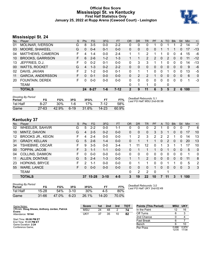### **Official Box Score Mississippi St. vs Kentucky First Half Statistics Only January 25, 2022 at Rupp Arena (Cawood Court) - Lexington**



### **Mississippi St. 24**

| No. | Plaver                   | S  | <b>Pts</b> | <b>FG</b> | 3FG     | <b>FT</b> | <b>OR</b> | <b>DR</b> | <b>TR</b> | PF             | A            | TO | <b>Blk</b> | Stl | Min | $+/-$        |
|-----|--------------------------|----|------------|-----------|---------|-----------|-----------|-----------|-----------|----------------|--------------|----|------------|-----|-----|--------------|
| 01  | <b>MOLINAR, IVERSON</b>  | G  | 8          | $3-5$     | $0-0$   | $2 - 2$   | 0         | 0         | 0         |                | 0            |    |            | 2   | 14  | $-7$         |
| 03  | MOORE, SHAKEEL           | G  | $\Omega$   | $0 - 4$   | $0 - 1$ | $0 - 0$   | $\Omega$  | $\Omega$  | 0         | 0              |              |    |            | 0   | 17  | $-13$        |
| 04  | MATTHEWS, CAMERON        | F. | 4          | $1 - 4$   | $0 - 0$ | $2 - 4$   |           | 1         | 2         |                |              | 0  | 0          | 4   | 15  | -6           |
| 10  | <b>BROOKS, GARRISON</b>  | F. | 6          | $2-6$     | $1 - 2$ | $1 - 3$   |           |           | 2         | $\overline{2}$ | $\Omega$     | 2  | $\Omega$   | 0   | 11  | $-12$        |
| 13  | JEFFRIES, D.J.           | F  | 0          | $0 - 2$   | $0 - 1$ | $0 - 0$   | 0         | 3         | 3         |                |              | 0  | 0          | 0   | 14  | $-13$        |
| 00  | <b>WATTS, ROCKET</b>     | G  | 4          | $1 - 3$   | $0 - 2$ | $2 - 2$   | 0         | 0         | 0         | 0              | $\mathbf{0}$ | 0  | 0          | 0   | 9   | -6           |
| 02  | DAVIS, JAVIAN            | F. | 2          | $1 - 2$   | $0 - 0$ | $0 - 1$   | 0         |           |           | 0              | 0            |    | 0          | 0   | 13  | -5           |
| 11  | <b>GARCIA, ANDERSSON</b> | F. | 0          | $0 - 1$   | $0 - 0$ | $0 - 0$   | 0         | 2         | 2         |                | $\Omega$     | 0  | 0          | 0   | 6   | $\mathbf{0}$ |
| -20 | FOUNTAIN, DEREK          | F. | $\Omega$   | $0 - 0$   | $0 - 0$ | $0 - 0$   | $\Omega$  | 0         | 0         | 0              | $\Omega$     | 0  | 0          | 0   |     | -3           |
|     | <b>TEAM</b>              |    |            |           |         |           | 0         |           |           | $\Omega$       |              | 0  |            |     |     |              |
|     | <b>TOTALS</b>            |    | 24         | $8 - 27$  | 1-6     | $7-12$    | 2         | 9         | 11        | 6              | 3            | 5  | 2          | 6   | 100 |              |

| <b>Shooting By Period</b><br>Period | FG        | FG%    | 3FG    | 3FG%  | FT.       | FT%   | Deadball Rebounds: 5,1<br>Last FG Half: MSU 2nd-00:58 |
|-------------------------------------|-----------|--------|--------|-------|-----------|-------|-------------------------------------------------------|
| 1st Half                            | 8-27      | $30\%$ | 1-6    | 17%   | 7-12      | .58%  |                                                       |
| Game                                | $27 - 63$ | 42.9%  | $6-19$ | 31.6% | $14 - 23$ | 60.9% |                                                       |

### **Kentucky 37**

| Player                   | S  | <b>Pts</b> | FG      | 3FG       | <b>FT</b> | <b>OR</b>    | <b>DR</b> | TR           | PF       | A            | <b>TO</b> | <b>B</b> lk  | Stl      | Min | $+/-$        |
|--------------------------|----|------------|---------|-----------|-----------|--------------|-----------|--------------|----------|--------------|-----------|--------------|----------|-----|--------------|
| WHEELER, SAHVIR          | G  | 5          | $2 - 2$ | $0-0$     | 1-1       | 0            | 0         | 0            | 2        |              | 0         | 0            | 0        |     | 6            |
| MINTZ, DAVION            | G  | 4          | $2 - 5$ | $0 - 2$   | $0 - 0$   | $\Omega$     | 0         | $\mathbf{0}$ | 3        | 3            |           | 0            | 0        | 17  | 10           |
| <b>BROOKS JR., KEION</b> | F  | 4          | $2 - 4$ | $0 - 0$   | $0-0$     | 1.           | 2         | 3            | 2        | 2            | 2         |              | 0        | 14  | 13           |
| <b>GRADY, KELLAN</b>     | G  | 5          | $2 - 6$ | $1 - 4$   | $0 - 0$   | 0            |           |              |          | $\mathbf{0}$ | 2         | $\mathbf{0}$ | 0        | 20  | 13           |
| <b>TSHIEBWE, OSCAR</b>   | F. | 9          | $3-5$   | $0 - 0$   | $3 - 4$   | 1.           | 11        | 12           | 0        | 1            | 3         |              |          | 17  | 10           |
| <b>TOPPIN, JACOB</b>     | F  | 3          | $1 - 1$ | $1 - 1$   | $0 - 0$   | 0            |           |              |          | $\Omega$     |           | $\Omega$     | 0        | 5   | $\mathbf{0}$ |
| <b>COLLINS, DAIMION</b>  | F. | 0          | $0 - 0$ | $0 - 0$   | $0-0$     | $\mathbf{0}$ | 0         | 0            | 0        | 0            | 0         | 0            | 0        | 1   | $\mathbf{0}$ |
| ALLEN, DONTAIE           | G  | 5          | $2 - 4$ | $1 - 3$   | $0 - 0$   | $\mathbf{1}$ |           | 2            | $\Omega$ | 0            | 0         | $\mathbf{0}$ | $\Omega$ | 11  | 8            |
| <b>HOPKINS, BRYCE</b>    | F  | 2          | $1 - 1$ | $0 - 0$   | $0 - 0$   | 0            |           |              | 0        | $\Omega$     |           |              | 0        | 5   | 2            |
| <b>WARE, LANCE</b>       | F  | $\Omega$   | $0 - 0$ | $0 - 0$   | $0 - 0$   | 0            | 0         | 0            |          | 0            | 0         | $\mathbf{0}$ | 0        | 3   | 3            |
| <b>TEAM</b>              |    |            |         |           |           | 0            | 2         | 2            | 0        |              | 1         |              |          |     |              |
| <b>TOTALS</b>            |    | 37         |         | $3 - 10$  | $4 - 5$   | 3            | 19        | 22           | 10       | 7            | 11        | 3            |          |     |              |
|                          |    |            |         | $15 - 28$ |           |              |           |              |          |              |           |              |          |     | 100          |

| <b>Shooting By Period</b><br>Period | FG    | FG%   | 3FG      | 3FG%  | FТ    | FT%   |
|-------------------------------------|-------|-------|----------|-------|-------|-------|
| 1st Half                            | 15-28 | 54%   | $3 - 10$ | 30%   | 4-5   | 80%   |
| Game                                | 31-66 | 47.0% | $6 - 23$ | 26.1% | 14-20 | 70.0% |

*Deadball Rebounds:* 3,0 *Last FG Half:* UKY 2nd-02:49

| Game Notes:                                      | <b>Score</b> | 1st | 2nd | 3rd | <b>TOT</b> | <b>Points (This Period)</b> | <b>MSU</b>     | <b>UKY</b>     |
|--------------------------------------------------|--------------|-----|-----|-----|------------|-----------------------------|----------------|----------------|
| Officials: Doug Shows, Anthony Jordan, Patrick   | <b>MSU</b>   | 24  | 48  |     | 74         | In the Paint                |                | 16             |
| Evans<br>Attendance: 18144                       | UKY          | 37  | 35  | 10  | 82         | Off Turns                   |                |                |
|                                                  |              |     |     |     |            | 2nd Chance                  |                |                |
| Start Time: 09:06 PM ET<br>End Time: 11:31 PM ET |              |     |     |     |            | Fast Break                  |                |                |
| Game Duration: 2:24                              |              |     |     |     |            | Bench                       |                | 10             |
| Conference Game:                                 |              |     |     |     |            | Per Poss                    | 0.686<br>12/35 | 0.974<br>17/38 |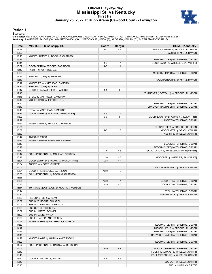### **Official Play-By-Play Mississippi St. vs Kentucky First Half January 25, 2022 at Rupp Arena (Cawood Court) - Lexington**



#### **Period 1**

<mark>Starters:</mark><br>Mississippi St.: 1 MOLINAR,IVERSON (G); 3 MOORE,SHAKEEL (G); 4 MATTHEWS,CAMERON (F); 10 BROOKS,GARRISON (F); 13 JEFFRIES,D.J. (F);<br>**Kentucky**: 2 WHEELER,SAHVIR (G); 10 MINTZ,DAVION (G); 12 BROOKS JR.,KEION (F);

| Time           | <b>VISITORS: Mississippi St.</b>        | <b>Score</b> | <b>Margin</b>  | <b>HOME: Kentucky</b>                                                     |
|----------------|-----------------------------------------|--------------|----------------|---------------------------------------------------------------------------|
| 19:39          |                                         | $2 - 0$      | H <sub>2</sub> | GOOD! JUMPER by BROOKS JR., KEION                                         |
| 19:39          |                                         |              |                | ASSIST by MINTZ, DAVION                                                   |
| 19:18          | MISSED JUMPER by BROOKS, GARRISON       |              |                |                                                                           |
| 19:16          |                                         |              |                | REBOUND (DEF) by TSHIEBWE, OSCAR                                          |
| 19:11          |                                         | $4-0$        | H4             | GOOD! LAYUP by WHEELER, SAHVIR [FB]                                       |
| 18:52          | GOOD! 3PTR by BROOKS, GARRISON          | $4 - 3$      | H <sub>1</sub> |                                                                           |
| 18:52          | ASSIST by JEFFRIES, D.J.                |              |                |                                                                           |
| 18:29          |                                         |              |                | MISSED JUMPER by TSHIEBWE, OSCAR                                          |
| 18:26          | REBOUND (DEF) by JEFFRIES, D.J.         |              |                |                                                                           |
| 18:17          |                                         |              |                | FOUL (PERSONAL) by MINTZ, DAVION                                          |
| 18:17          | MISSED FT by MATTHEWS, CAMERON          |              |                |                                                                           |
| 18:17          | REBOUND (OFF) by TEAM                   |              |                |                                                                           |
| 18:17          | GOOD! FT by MATTHEWS, CAMERON           | $4 - 4$      | T              |                                                                           |
| 17:48          |                                         |              |                | TURNOVER (LOSTBALL) by BROOKS JR., KEION                                  |
| 17:48          | STEAL by MATTHEWS, CAMERON              |              |                |                                                                           |
| 17:44<br>17:40 | MISSED 3PTR by JEFFRIES, D.J.           |              |                |                                                                           |
| 17:40          |                                         |              |                | REBOUND (DEF) by TSHIEBWE, OSCAR<br>TURNOVER (BADPASS) by TSHIEBWE, OSCAR |
| 17:40          | STEAL by MATTHEWS, CAMERON              |              |                |                                                                           |
| 17:35          | GOOD! LAYUP by MOLINAR, IVERSON [FB]    | $4 - 6$      | V <sub>2</sub> |                                                                           |
| 17:27          |                                         | $6-6$        | T              | GOOD! LAYUP by BROOKS JR., KEION [PNT]                                    |
| 17:27          |                                         |              |                | ASSIST by TSHIEBWE, OSCAR                                                 |
| 16:59          | MISSED 3PTR by BROOKS, GARRISON         |              |                |                                                                           |
| 16:56          |                                         |              |                | REBOUND (DEF) by BROOKS JR., KEION                                        |
| 16:52          |                                         | $9-6$        | H <sub>3</sub> | GOOD! 3PTR by GRADY, KELLAN                                               |
| 16:52          |                                         |              |                | ASSIST by WHEELER, SAHVIR                                                 |
| 16:47          | TIMEOUT 30SEC                           |              |                |                                                                           |
| 16:19          | MISSED JUMPER by MOORE, SHAKEEL         |              |                |                                                                           |
| 16:19          |                                         |              |                | BLOCK by TSHIEBWE, OSCAR                                                  |
| 16:12          |                                         |              |                | REBOUND (DEF) by TSHIEBWE, OSCAR                                          |
| 16:12          |                                         | $11-6$       | H <sub>5</sub> | GOOD! LAYUP by WHEELER, SAHVIR [FB/PNT]                                   |
| 16:12          | FOUL (PERSONAL) by MOLINAR, IVERSON     |              |                |                                                                           |
| 16:12          |                                         | $12-6$       | H <sub>6</sub> | GOOD! FT by WHEELER, SAHVIR [FB]                                          |
| 16:04          | GOOD! LAYUP by BROOKS, GARRISON [PNT]   | $12-8$       | H4             |                                                                           |
| 16:04          | ASSIST by MOORE, SHAKEEL                |              |                |                                                                           |
| 16:04          |                                         |              |                | FOUL (PERSONAL) by GRADY, KELLAN                                          |
| 16:04          | GOOD! FT by BROOKS, GARRISON            | $12-9$       | H <sub>3</sub> |                                                                           |
| 15:38          | FOUL (PERSONAL) by BROOKS, GARRISON     |              |                |                                                                           |
| 15:38          |                                         |              |                |                                                                           |
| 15:35          |                                         | $13-9$       | H4             | GOOD! FT by TSHIEBWE, OSCAR                                               |
| 15:35          |                                         | $14-9$       | H <sub>5</sub> | GOOD! FT by TSHIEBWE, OSCAR                                               |
| 15:14          | TURNOVER (LOSTBALL) by MOLINAR, IVERSON |              |                |                                                                           |
| 15:14          |                                         |              |                | STEAL by TSHIEBWE, OSCAR                                                  |
| 15:10          |                                         |              |                | MISSED 3PTR by GRADY, KELLAN                                              |
| 15:09          | REBOUND (DEF) by TEAM                   |              |                |                                                                           |
| 15:09          | SUB OUT: MOORE, SHAKEEL                 |              |                |                                                                           |
| 15:09          | SUB OUT: BROOKS, GARRISON               |              |                |                                                                           |
| 15:09          | SUB OUT: JEFFRIES, D.J.                 |              |                |                                                                           |
| 15:09          | SUB IN: WATTS, ROCKET                   |              |                |                                                                           |
| 15:09          | SUB IN: DAVIS, JAVIAN                   |              |                |                                                                           |
| 15:09          | SUB IN: GARCIA, ANDERSSON               |              |                |                                                                           |
| 14:56<br>14:53 | MISSED LAYUP by MATTHEWS, CAMERON       |              |                |                                                                           |
| 14:47          |                                         |              |                | REBOUND (DEF) by TSHIEBWE, OSCAR<br>MISSED LAYUP by BROOKS JR., KEION     |
| 14:45          |                                         |              |                | REBOUND (OFF) by TSHIEBWE, OSCAR                                          |
| 14:45          |                                         |              |                | TURNOVER (TRAVEL) by TSHIEBWE, OSCAR                                      |
| 14:22          | MISSED LAYUP by GARCIA, ANDERSSON       |              |                |                                                                           |
| 14:22          |                                         |              |                | REBOUND (DEF) by TSHIEBWE, OSCAR                                          |
| 14:22          | FOUL (PERSONAL) by GARCIA, ANDERSSON    |              |                |                                                                           |
| 14:03          |                                         | $16-9$       | H 7            | GOOD! JUMPER by TSHIEBWE, OSCAR                                           |
| 13:42          |                                         |              |                | FOUL (PERSONAL) by WHEELER, SAHVIR                                        |
| 13:40          |                                         |              |                | FOUL (PERSONAL) by WHEELER, SAHVIR                                        |
| 13:40          | GOOD! FT by WATTS, ROCKET               | $16-10$      | H 6            |                                                                           |
| 13:40          |                                         |              |                | SUB OUT: WHEELER, SAHVIR                                                  |
| 13:40          |                                         |              |                | SUB IN: HOPKINS, BRYCE                                                    |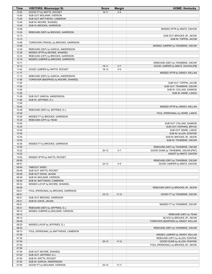| Time           | <b>VISITORS: Mississippi St.</b>                                       | <b>Score</b> | <b>Margin</b>  | <b>HOME: Kentucky</b>                          |
|----------------|------------------------------------------------------------------------|--------------|----------------|------------------------------------------------|
| 13:40          | GOOD! FT by WATTS, ROCKET                                              | $16 - 11$    | H <sub>5</sub> |                                                |
| 13:40          | SUB OUT: MOLINAR, IVERSON                                              |              |                |                                                |
| 13:40          | SUB OUT: MATTHEWS, CAMERON                                             |              |                |                                                |
| 13:40          | SUB IN: MOORE, SHAKEEL                                                 |              |                |                                                |
| 13:40<br>13:28 | SUB IN: BROOKS, GARRISON                                               |              |                |                                                |
| 13:24          | REBOUND (DEF) by BROOKS, GARRISON                                      |              |                | MISSED 3PTR by MINTZ, DAVION                   |
| 13:13          |                                                                        |              |                | SUB OUT: BROOKS JR., KEION                     |
| 13:13          |                                                                        |              |                | SUB IN: TOPPIN, JACOB                          |
| 13:09          | TURNOVER (TRAVEL) by BROOKS, GARRISON                                  |              |                |                                                |
| 12:48          |                                                                        |              |                | MISSED JUMPER by TSHIEBWE, OSCAR               |
| 12:45          | REBOUND (DEF) by GARCIA, ANDERSSON                                     |              |                |                                                |
| 12:39          | MISSED 3PTR by MOORE, SHAKEEL                                          |              |                |                                                |
| 12:33<br>12:19 | REBOUND (OFF) by BROOKS, GARRISON<br>MISSED JUMPER by BROOKS, GARRISON |              |                |                                                |
| 12:17          |                                                                        |              |                | REBOUND (DEF) by TSHIEBWE, OSCAR               |
| 12:12          |                                                                        | $18 - 11$    | H 7            | GOOD! JUMPER by MINTZ, DAVION [FB]             |
| 11:42          | GOOD! JUMPER by WATTS, ROCKET                                          | 18-13        | H <sub>5</sub> |                                                |
| 11:17          |                                                                        |              |                | MISSED 3PTR by GRADY, KELLAN                   |
| 11:13          | REBOUND (DEF) by GARCIA, ANDERSSON                                     |              |                |                                                |
| 11:09<br>11:09 | TURNOVER (BADPASS) by MOORE, SHAKEEL                                   |              |                | SUB OUT: TOPPIN, JACOB                         |
| 11:09          |                                                                        |              |                | SUB OUT: TSHIEBWE, OSCAR                       |
| 11:09          |                                                                        |              |                | SUB IN: COLLINS, DAIMION                       |
| 11:09          |                                                                        |              |                | SUB IN: WARE, LANCE                            |
| 11:09          | SUB OUT: GARCIA, ANDERSSON                                             |              |                |                                                |
| 11:09          | SUB IN: JEFFRIES, D.J.                                                 |              |                |                                                |
| 11:09          |                                                                        |              |                |                                                |
| 10:42<br>10:38 | REBOUND (DEF) by JEFFRIES, D.J.                                        |              |                | MISSED 3PTR by GRADY, KELLAN                   |
| 10:30          |                                                                        |              |                | FOUL (PERSONAL) by WARE, LANCE                 |
| 10:30          | MISSED FT by BROOKS, GARRISON                                          |              |                |                                                |
| 10:30          | REBOUND (OFF) by TEAM                                                  |              |                |                                                |
| 10:30          |                                                                        |              |                | SUB OUT: COLLINS, DAIMION                      |
| 10:30          |                                                                        |              |                | SUB OUT: HOPKINS, BRYCE                        |
| 10:30<br>10:30 |                                                                        |              |                | SUB OUT: WARE, LANCE<br>SUB IN: ALLEN, DONTAIE |
| 10:30          |                                                                        |              |                | SUB IN: BROOKS JR., KEION                      |
| 10:30          |                                                                        |              |                | SUB IN: TSHIEBWE, OSCAR                        |
| 10:30          | MISSED FT by BROOKS, GARRISON                                          |              |                |                                                |
| 10:30          |                                                                        |              |                | REBOUND (DEF) by TSHIEBWE, OSCAR               |
| 10:22          |                                                                        | $20-13$      | H <sub>7</sub> | GOOD! DUNK by TSHIEBWE, OSCAR [PNT]            |
| 10:22<br>10:02 | MISSED 3PTR by WATTS, ROCKET                                           |              |                | ASSIST by MINTZ, DAVION                        |
| 09:58          |                                                                        |              |                | REBOUND (DEF) by TSHIEBWE, OSCAR               |
| 09:51          |                                                                        | 22-13        | H 9            | GOOD! JUMPER by MINTZ, DAVION                  |
| 09:49          | TIMEOUT 30SEC                                                          |              |                |                                                |
| 09:49          | SUB OUT: WATTS, ROCKET                                                 |              |                |                                                |
| 09:49          | SUB OUT: DAVIS, JAVIAN                                                 |              |                |                                                |
| 09:49<br>09:49 | SUB IN: MOLINAR, IVERSON<br>SUB IN: MATTHEWS, CAMERON                  |              |                |                                                |
| 09:32          | MISSED LAYUP by MOORE, SHAKEEL                                         |              |                |                                                |
| 09:29          |                                                                        |              |                | REBOUND (DEF) by BROOKS JR., KEION             |
| 09:21          | FOUL (PERSONAL) by BROOKS, GARRISON                                    |              |                |                                                |
| 09:21          |                                                                        | $23-13$      | H 10           | GOOD! FT by TSHIEBWE, OSCAR                    |
| 09:21          | SUB OUT: BROOKS, GARRISON                                              |              |                |                                                |
| 09:21<br>09:21 | SUB IN: DAVIS, JAVIAN                                                  |              |                | MISSED FT by TSHIEBWE, OSCAR                   |
| 09:21          | REBOUND (DEF) by JEFFRIES, D.J.                                        |              |                |                                                |
| 09:12          | MISSED JUMPER by MOLINAR, IVERSON                                      |              |                |                                                |
| 09:12          |                                                                        |              |                | REBOUND (DEF) by TEAM                          |
| 09:12          |                                                                        |              |                | BLOCK by BROOKS JR., KEION                     |
| 08:49          |                                                                        |              |                | TURNOVER (BADPASS) by GRADY, KELLAN            |
| 08:25<br>08:23 | MISSED LAYUP by JEFFRIES, D.J.                                         |              |                | REBOUND (DEF) by TSHIEBWE, OSCAR               |
| 08:13          | FOUL (PERSONAL) by MATTHEWS, CAMERON                                   |              |                |                                                |
| 07:58          |                                                                        |              |                | MISSED JUMPER by GRADY, KELLAN                 |
| 07:54          |                                                                        |              |                | REBOUND (OFF) by ALLEN, DONTAIE                |
| 07:54          |                                                                        | $25-13$      | H 12           | <b>GOOD! DUNK by ALLEN, DONTAIE</b>            |
| 07:50          |                                                                        |              |                | FOUL (PERSONAL) by BROOKS JR., KEION           |
| 07:50<br>07:50 | SUB OUT: MOORE, SHAKEEL                                                |              |                |                                                |
| 07:50          | SUB OUT: JEFFRIES, D.J.                                                |              |                |                                                |
| 07:50          | SUB IN: WATTS, ROCKET                                                  |              |                |                                                |
| 07:50          | SUB IN: GARCIA, ANDERSSON                                              |              |                |                                                |
| 07:50          | GOOD! FT by MOLINAR, IVERSON                                           | $25 - 14$    | H 11           |                                                |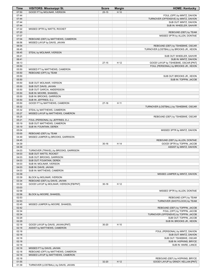| Time           | <b>VISITORS: Mississippi St.</b>                                        | <b>Score</b> | <b>Margin</b> | <b>HOME: Kentucky</b>                                         |
|----------------|-------------------------------------------------------------------------|--------------|---------------|---------------------------------------------------------------|
| 07:50          | GOOD! FT by MOLINAR, IVERSON                                            | $25 - 15$    | H 10          |                                                               |
| 07:44          |                                                                         |              |               | FOUL (OFF) by MINTZ, DAVION                                   |
| 07:44          |                                                                         |              |               | TURNOVER (OFFENSIVE) by MINTZ, DAVION                         |
| 07:44          |                                                                         |              |               | SUB OUT: MINTZ, DAVION                                        |
| 07:44          |                                                                         |              |               | SUB IN: WHEELER, SAHVIR                                       |
| 07:22          | MISSED 3PTR by WATTS, ROCKET                                            |              |               |                                                               |
| 07:20          |                                                                         |              |               | REBOUND (DEF) by TEAM                                         |
| 07:07          |                                                                         |              |               | MISSED 3PTR by ALLEN, DONTAIE                                 |
| 07:04          | REBOUND (DEF) by MATTHEWS, CAMERON                                      |              |               |                                                               |
| 06:56          | MISSED LAYUP by DAVIS, JAVIAN                                           |              |               |                                                               |
| 06:54          |                                                                         |              |               | REBOUND (DEF) by TSHIEBWE, OSCAR                              |
| 06:45          |                                                                         |              |               | TURNOVER (LOSTBALL) by BROOKS JR., KEION                      |
| 06:45<br>06:41 | STEAL by MOLINAR, IVERSON                                               |              |               | SUB OUT: WHEELER, SAHVIR                                      |
| 06:41          |                                                                         |              |               | SUB IN: MINTZ, DAVION                                         |
| 06:13          |                                                                         | $27 - 15$    | H 12          | GOOD! LAYUP by TSHIEBWE, OSCAR [PNT]                          |
| 05:50          |                                                                         |              |               | FOUL (PERSONAL) by BROOKS JR., KEION                          |
| 05:50          | MISSED FT by MATTHEWS, CAMERON                                          |              |               |                                                               |
| 05:50          | REBOUND (OFF) by TEAM                                                   |              |               |                                                               |
| 05:50          |                                                                         |              |               | SUB OUT: BROOKS JR., KEION                                    |
| 05:50          |                                                                         |              |               | SUB IN: TOPPIN, JACOB                                         |
| 05:50          | SUB OUT: MOLINAR, IVERSON                                               |              |               |                                                               |
| 05:50          | SUB OUT: DAVIS, JAVIAN                                                  |              |               |                                                               |
| 05:50          | SUB OUT: GARCIA, ANDERSSON                                              |              |               |                                                               |
| 05:50          | SUB IN: MOORE, SHAKEEL                                                  |              |               |                                                               |
| 05:50          | SUB IN: BROOKS, GARRISON                                                |              |               |                                                               |
| 05:50          | SUB IN: JEFFRIES, D.J.                                                  |              |               |                                                               |
| 05:50<br>05:32 | GOOD! FT by MATTHEWS, CAMERON                                           | $27-16$      | H 11          | TURNOVER (LOSTBALL) by TSHIEBWE, OSCAR                        |
| 05:32          | STEAL by MATTHEWS, CAMERON                                              |              |               |                                                               |
| 05:27          | MISSED LAYUP by MATTHEWS, CAMERON                                       |              |               |                                                               |
| 05:25          |                                                                         |              |               | REBOUND (DEF) by TSHIEBWE, OSCAR                              |
| 05:21          | FOUL (PERSONAL) by JEFFRIES, D.J.                                       |              |               |                                                               |
| 05:19          | SUB OUT: MATTHEWS, CAMERON                                              |              |               |                                                               |
| 05:19          | SUB IN: FOUNTAIN, DEREK                                                 |              |               |                                                               |
| 05:04          |                                                                         |              |               | MISSED 3PTR by MINTZ, DAVION                                  |
| 05:00          | REBOUND (DEF) by TEAM                                                   |              |               |                                                               |
| 04:49          | MISSED JUMPER by BROOKS, GARRISON                                       |              |               |                                                               |
| 04:45          |                                                                         |              |               | REBOUND (DEF) by ALLEN, DONTAIE                               |
| 04:39          |                                                                         | $30 - 16$    | H 14          | GOOD! 3PTR by TOPPIN, JACOB                                   |
| 04:39          |                                                                         |              |               | ASSIST by MINTZ, DAVION                                       |
| 04:03<br>04:03 | TURNOVER (TRAVEL) by BROOKS, GARRISON<br>SUB OUT: WATTS, ROCKET         |              |               |                                                               |
| 04:03          | SUB OUT: BROOKS, GARRISON                                               |              |               |                                                               |
| 04:03          | SUB OUT: FOUNTAIN, DEREK                                                |              |               |                                                               |
| 04:03          | SUB IN: MOLINAR, IVERSON                                                |              |               |                                                               |
| 04:03          | SUB IN: DAVIS, JAVIAN                                                   |              |               |                                                               |
| 04:03          | SUB IN: MATTHEWS, CAMERON                                               |              |               |                                                               |
| 03:39          |                                                                         |              |               | MISSED JUMPER by MINTZ, DAVION                                |
| 03:39          | BLOCK by MOLINAR, IVERSON                                               |              |               |                                                               |
| 03:34          | REBOUND (DEF) by DAVIS, JAVIAN                                          |              |               |                                                               |
| 03:32          | GOOD! LAYUP by MOLINAR, IVERSON [FB/PNT]                                | $30 - 18$    | H 12          |                                                               |
| 03:03          |                                                                         |              |               |                                                               |
| 02:58          |                                                                         |              |               |                                                               |
|                |                                                                         |              |               | MISSED 3PTR by ALLEN, DONTAIE                                 |
| 02:58          | BLOCK by MOORE, SHAKEEL                                                 |              |               |                                                               |
| 02:53          |                                                                         |              |               | REBOUND (OFF) by TEAM                                         |
| 02:53          |                                                                         |              |               | TURNOVER (SHOTCLOCK) by TEAM                                  |
| 02:45          | MISSED JUMPER by MOORE, SHAKEEL                                         |              |               |                                                               |
| 02:42<br>02:34 |                                                                         |              |               | REBOUND (DEF) by TOPPIN, JACOB<br>FOUL (OFF) by TOPPIN, JACOB |
| 02:34          |                                                                         |              |               | TURNOVER (OFFENSIVE) by TOPPIN, JACOB                         |
| 02:29          |                                                                         |              |               | SUB OUT: TOPPIN, JACOB                                        |
| 02:29          |                                                                         |              |               | SUB IN: BROOKS JR., KEION                                     |
| 02:18          | GOOD! LAYUP by DAVIS, JAVIAN [PNT]                                      | $30 - 20$    | H 10          |                                                               |
| 02:18          | ASSIST by MATTHEWS, CAMERON                                             |              |               |                                                               |
| 02:18          |                                                                         |              |               | FOUL (PERSONAL) by MINTZ, DAVION                              |
| 02:18          |                                                                         |              |               | SUB OUT: MINTZ, DAVION                                        |
| 02:18          |                                                                         |              |               | SUB OUT: TSHIEBWE, OSCAR                                      |
| 02:18          |                                                                         |              |               | SUB IN: HOPKINS, BRYCE                                        |
| 02:18          |                                                                         |              |               | SUB IN: WARE, LANCE                                           |
| 02:18          | MISSED FT by DAVIS, JAVIAN                                              |              |               |                                                               |
| 02:18<br>02:18 | REBOUND (OFF) by MATTHEWS, CAMERON<br>MISSED LAYUP by MATTHEWS, CAMERON |              |               |                                                               |
| 02:18          |                                                                         |              |               | REBOUND (DEF) by HOPKINS, BRYCE                               |
| 01:55          |                                                                         | 32-20        | H 12          | GOOD! LAYUP by GRADY, KELLAN [PNT]                            |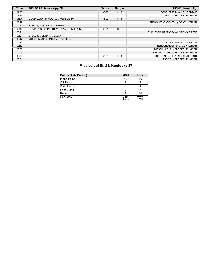| <b>Time</b> | <b>VISITORS: Mississippi St.</b>         | <b>Score</b> | <b>Margin</b> | <b>HOME: Kentucky</b>                |
|-------------|------------------------------------------|--------------|---------------|--------------------------------------|
| 01:29       |                                          | $35 - 20$    | H 15          | GOOD! 3PTR by ALLEN, DONTAIE         |
| 01:29       |                                          |              |               | ASSIST by BROOKS JR., KEION          |
| 01:04       | GOOD! LAYUP by MOLINAR, IVERSON [PNT]    | $35 - 22$    | H 13          |                                      |
| 00:47       |                                          |              |               | TURNOVER (BADPASS) by GRADY, KELLAN  |
| 00:47       | STEAL by MATTHEWS, CAMERON               |              |               |                                      |
| 00:43       | GOOD! DUNK by MATTHEWS, CAMERON [FB/PNT] | $35 - 24$    | H 11          |                                      |
| 00:21       |                                          |              |               | TURNOVER (BADPASS) by HOPKINS, BRYCE |
| 00:21       | STEAL by MOLINAR, IVERSON                |              |               |                                      |
| 00:17       | MISSED LAYUP by MOLINAR, IVERSON         |              |               |                                      |
| 00:17       |                                          |              |               | BLOCK by HOPKINS, BRYCE              |
| 00:12       |                                          |              |               | REBOUND (DEF) by GRADY, KELLAN       |
| 00:08       |                                          |              |               | MISSED LAYUP by BROOKS JR., KEION    |
| 00:05       |                                          |              |               | REBOUND (OFF) by BROOKS JR., KEION   |
| 00:04       |                                          | $37 - 24$    | H 13          | GOOD! DUNK by HOPKINS, BRYCE [PNT]   |
| 00:04       |                                          |              |               | ASSIST by BROOKS JR., KEION          |

### **Mississippi St. 24, Kentucky 37**

| <b>Points (This Period)</b> | <b>MSU</b>     | <b>UKY</b>     |
|-----------------------------|----------------|----------------|
| In the Paint                | 12             | 16             |
| Off Turns                   |                | ີ              |
| 2nd Chance                  |                |                |
| <b>Fast Break</b>           |                |                |
| Bench                       |                | 10             |
| Per Poss                    | 0.686<br>12/35 | 0.974<br>17/38 |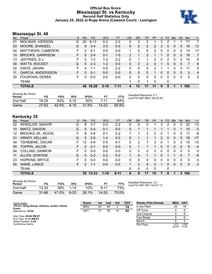### **Official Box Score Mississippi St. vs Kentucky Second Half Statistics Only January 25, 2022 at Rupp Arena (Cawood Court) - Lexington**



### **Mississippi St. 48**

| No. | Plaver                   | S. | <b>Pts</b> | <b>FG</b> | 3FG     | <b>FT</b> | <b>OR</b> | <b>DR</b> | <b>TR</b> | PF             | A            | TO | <b>Blk</b>   | Stl      | Min          | $+/-$          |
|-----|--------------------------|----|------------|-----------|---------|-----------|-----------|-----------|-----------|----------------|--------------|----|--------------|----------|--------------|----------------|
| 01  | <b>MOLINAR, IVERSON</b>  | G  | 20         | $9 - 13$  | $0 - 2$ | $2 - 2$   | 0         | 2         | 2         |                | 3            | 2  |              |          | 17           | 7              |
| 03  | MOORE, SHAKEEL           | G  | 9          | $3 - 4$   | $3 - 3$ | $0 - 0$   | 0         | 2         | 2         | $\overline{2}$ | 3            | 0  | $\mathbf{0}$ | $\Omega$ | 16           | 13             |
| 04  | MATTHEWS, CAMERON        | F. | 0          | $0 - 1$   | $0 - 0$ | $0 - 0$   | 1.        | 5         | 6         | 2              | 0            | 0  | 0            | 0        | 13           | 17             |
| 10  | <b>BROOKS, GARRISON</b>  | F. | 5          | $2 - 4$   | $0 - 1$ | $1 - 5$   | 2         |           | 3         | 1              | 1            | 0  | $\mathbf{0}$ | $\Omega$ | 18           | 7              |
| 13  | JEFFRIES, D.J.           | F. | 5          | $1 - 2$   | $1 - 2$ | $2 - 2$   | 0         |           | 1         | $\overline{2}$ | $\mathbf{0}$ | 2  | 0            | $\Omega$ | 15           | 6              |
| 00  | <b>WATTS, ROCKET</b>     | G  | 5          | $2 - 3$   | $1 - 2$ | $0 - 0$   | 0         | 2         | 2         | 0              | 1            | 0  | $\Omega$     | $\Omega$ | 7            | 6              |
| 02  | DAVIS, JAVIAN            | F. | 4          | $1 - 1$   | $0-0$   | $2 - 2$   | 0         | 0         | 0         | 2              |              |    | 0            | 0        | 11           | 5              |
| 11  | <b>GARCIA, ANDERSSON</b> | F. | $\Omega$   | $0 - 1$   | $0 - 0$ | $0 - 0$   | $\Omega$  | 0         | 0         |                | $\mathbf{0}$ | 0  | $\mathbf{0}$ | 0        | 3            | $\overline{4}$ |
| -20 | <b>FOUNTAIN, DEREK</b>   | F. | 0          | $0-0$     | $0 - 0$ | $0 - 0$   | 0         | 0         | 0         | 0              | $\Omega$     | 0  | 0            | 0        | $\mathbf{0}$ | $\mathbf{0}$   |
|     | <b>TEAM</b>              |    |            |           |         |           |           | $\Omega$  |           | 0              |              | 0  |              |          |              |                |
|     | <b>TOTALS</b>            |    | 48.        | $18 - 29$ | $5-10$  | $7 - 11$  | 4         | 13        | 17        | 11             | 9            | 5  |              |          | 100          |                |

| <b>Shooting By Period</b><br>Period | FG    | FG%   | 3FG    | 3FG%  | FT.       | FT%   | Deadball Rebounds: 5,1<br>Last FG Half: MSU 3rd-02:43 |
|-------------------------------------|-------|-------|--------|-------|-----------|-------|-------------------------------------------------------|
| 2nd Half                            | 18-29 | 62%   | $5-10$ | 50%   | 7-11      | 64%   |                                                       |
| Game                                | 27-63 | 42.9% | $6-19$ | 31.6% | $14 - 23$ | 60.9% |                                                       |

### **Kentucky 35**

| No. | Plaver                   | S  | <b>Pts</b>    | <b>FG</b> | 3FG      | <b>FT</b> | <b>OR</b>    | <b>DR</b> | TR       | PF       | A | TO | <b>B</b> lk  | Stl      | Min      | $+/-$        |
|-----|--------------------------|----|---------------|-----------|----------|-----------|--------------|-----------|----------|----------|---|----|--------------|----------|----------|--------------|
| 02  | WHEELER, SAHVIR          | G  | 8             | 3-7       | $0 - 2$  | $2 - 2$   | 0            | 0         | 0        |          | 3 | 2  | 0            | 0        | 20       | $-13$        |
| 10  | MINTZ, DAVION            | G  | 0             | $0 - 4$   | $0 - 1$  | $0 - 0$   | $\Omega$     |           |          |          | 1 |    | 0            |          | 15       | $-3$         |
| 12  | <b>BROOKS JR., KEION</b> | F  | 8             | $3-6$     | $0 - 1$  | $2 - 2$   | 1            |           | 2        | 2        | 0 |    | 0            | 0        | 11       | -9           |
| 31  | <b>GRADY, KELLAN</b>     | G  | 5             | $2 - 6$   | $1 - 4$  | $0-0$     | 0            |           |          |          | 2 | 0  | $\mathbf{0}$ | 0        | 18       | $-17$        |
| 34  | TSHIEBWE, OSCAR          | F. | 12            | $4-6$     | $0 - 0$  | $4 - 7$   | 5            | 2         |          | 3        | 0 | 1  | 0            | 2        | 15       | $-10$        |
| 00  | <b>TOPPIN, JACOB</b>     | F. | $\Omega$      | $0 - 1$   | $0 - 0$  | $0 - 0$   | $\Omega$     |           |          |          | 0 | 0  | $\Omega$     | $\Omega$ | 9        | $-4$         |
| 04  | <b>COLLINS, DAIMION</b>  | F  | 0             | $0 - 0$   | $0 - 0$  | $0 - 0$   | $\Omega$     | $\Omega$  | $\Omega$ | 0        | 0 | 0  | 0            | 0        | $\Omega$ | $\mathbf{0}$ |
| 11  | ALLEN, DONTAIE           | G  | 0             | $0 - 2$   | $0 - 2$  | $0-0$     |              | 0         |          |          | 0 |    |              | 0        | 7        | -6           |
| 23  | <b>HOPKINS, BRYCE</b>    | F. | 0             | $0 - 0$   | $0 - 0$  | $0 - 0$   | 0            | 0         | 0        | 0        | 0 | 0  | 0            | 0        | 0        | $\mathbf{0}$ |
| 55  | <b>WARE, LANCE</b>       | F. | $\mathcal{P}$ | $1 - 1$   | $0 - 0$  | $0-0$     | $\mathbf 1$  | 3         | 4        | 0        | 1 | 0  | $\Omega$     | 0        | 5        | $-3$         |
|     | <b>TEAM</b>              |    |               |           |          |           | $\mathbf{0}$ | 0         | 0        | $\Omega$ |   | 0  |              |          |          |              |
|     | <b>TOTALS</b>            |    | 35            | $13 - 33$ | $1 - 10$ | $8 - 11$  | 8            | 9         | 17       | 10       |   | 6  |              | 3        | 100      |              |

| <b>Shooting By Period</b><br>Period | FG        | FG%   | 3FG      | 3FG%  |          | FT%   |
|-------------------------------------|-----------|-------|----------|-------|----------|-------|
| 2nd Half                            | 13-33     | 39%   | $1 - 10$ | 10%   | $8 - 11$ | 73%   |
| Game                                | $31 - 66$ | 47.0% | $6-23$   | 26.1% | 14-20    | 70.0% |

*Deadball Rebounds:* 3,0 *Last FG Half:* UKY 3rd-01:13

| Game Notes:                                      | <b>Score</b> | 1st | 2nd | 3rd | <b>TOT</b> | <b>Points (This Period)</b> | <b>MSU</b>    | <b>UKY</b>    |
|--------------------------------------------------|--------------|-----|-----|-----|------------|-----------------------------|---------------|---------------|
| Officials: Doug Shows, Anthony Jordan, Patrick   | <b>MSU</b>   | 24  | 48  | 2   | 74         | In the Paint                | 24            | 18            |
| <b>Evans</b><br>Attendance: 18144                | UKY          | 37  | 35  | 10  | 82         | Off Turns                   |               |               |
|                                                  |              |     |     |     |            | 2nd Chance                  |               | 8             |
| Start Time: 09:06 PM ET<br>End Time: 11:31 PM ET |              |     |     |     |            | <b>Fast Break</b>           |               | 6             |
| Game Duration: 2:24                              |              |     |     |     |            | Bench                       |               |               |
| Conference Game:                                 |              |     |     |     |            | Per Poss                    | .412<br>22/34 | .000<br>17/35 |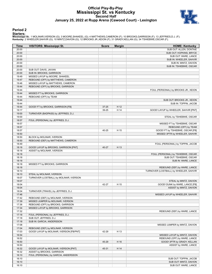### **Official Play-By-Play Mississippi St. vs Kentucky Second Half January 25, 2022 at Rupp Arena (Cawood Court) - Lexington**



#### **Period 2**

#### **Starters:**

Mississippi St.: 1 MOLINAR,IVERSON (G); 3 MOORE,SHAKEEL (G); 4 MATTHEWS,CAMERON (F); 10 BROOKS,GARRISON (F); 13 JEFFRIES,D.J. (F);<br>Kentucky: 2 WHEELER,SAHVIR (G); 10 MINTZ,DAVION (G); 12 BROOKS JR.,KEION (F); 31 GRADY,KELL

| Time           | <b>VISITORS: Mississippi St.</b>                                     | <b>Score</b> | <b>Margin</b> | <b>HOME: Kentucky</b>                                    |
|----------------|----------------------------------------------------------------------|--------------|---------------|----------------------------------------------------------|
| 20:00          |                                                                      |              |               | SUB OUT: ALLEN, DONTAIE                                  |
| 20:00          |                                                                      |              |               | SUB OUT: HOPKINS, BRYCE                                  |
| 20:00          |                                                                      |              |               | SUB OUT: WARE, LANCE                                     |
| 20:00          |                                                                      |              |               | SUB IN: WHEELER, SAHVIR                                  |
| 20:00          |                                                                      |              |               | SUB IN: MINTZ, DAVION                                    |
| 20:00          |                                                                      |              |               | SUB IN: TSHIEBWE, OSCAR                                  |
| 20:00          | SUB OUT: DAVIS, JAVIAN                                               |              |               |                                                          |
| 20:00          | SUB IN: BROOKS, GARRISON                                             |              |               |                                                          |
| 19:49          | MISSED LAYUP by MOORE, SHAKEEL                                       |              |               |                                                          |
| 19:47          | REBOUND (OFF) by MATTHEWS, CAMERON                                   |              |               |                                                          |
| 19:46          | MISSED LAYUP by MATTHEWS, CAMERON                                    |              |               |                                                          |
| 19:44          | REBOUND (OFF) by BROOKS, GARRISON                                    |              |               |                                                          |
| 19:44          |                                                                      |              |               | FOUL (PERSONAL) by BROOKS JR., KEION                     |
| 19:44          | MISSED FT by BROOKS, GARRISON                                        |              |               |                                                          |
| 19:44          | REBOUND (OFF) by TEAM                                                |              |               |                                                          |
| 19:44          |                                                                      |              |               | SUB OUT: BROOKS JR., KEION                               |
| 19:44          |                                                                      |              |               | SUB IN: TOPPIN, JACOB                                    |
| 19:44          | GOOD! FT by BROOKS, GARRISON [FB]                                    | $37 - 25$    | H 12          |                                                          |
| 19:17          |                                                                      | 39-25        | H 14          | GOOD! LAYUP by WHEELER, SAHVIR [PNT]                     |
| 19:00          | TURNOVER (BADPASS) by JEFFRIES, D.J.                                 |              |               |                                                          |
| 19:00          |                                                                      |              |               | STEAL by TSHIEBWE, OSCAR                                 |
| 18:57          | FOUL (PERSONAL) by JEFFRIES, D.J.                                    |              |               |                                                          |
| 18:57          |                                                                      |              |               | MISSED FT by TSHIEBWE, OSCAR                             |
| 18:57          |                                                                      |              |               | REBOUND (OFF) by TEAM                                    |
| 18:57          |                                                                      | 40-25        | H 15          | GOOD! FT by TSHIEBWE, OSCAR [FB]                         |
| 18:50          |                                                                      |              |               | MISSED 3PTR by WHEELER, SAHVIR                           |
| 18:50          | BLOCK by MOLINAR, IVERSON                                            |              |               |                                                          |
| 18:50          | REBOUND (DEF) by MATTHEWS, CAMERON                                   |              |               |                                                          |
| 18:49          |                                                                      |              |               | FOUL (PERSONAL) by TOPPIN, JACOB                         |
| 18:18          | GOOD! LAYUP by BROOKS, GARRISON [PNT]                                | 40-27        | H 13          |                                                          |
| 18:18          | ASSIST by MOLINAR, IVERSON                                           |              |               |                                                          |
| 18:18          |                                                                      |              |               | FOUL (PERSONAL) by TSHIEBWE, OSCAR                       |
| 18:18          |                                                                      |              |               | SUB OUT: TSHIEBWE, OSCAR                                 |
| 18:18          |                                                                      |              |               | SUB IN: WARE, LANCE                                      |
| 18:18          | MISSED FT by BROOKS, GARRISON                                        |              |               |                                                          |
| 18:18          |                                                                      |              |               | REBOUND (DEF) by WARE, LANCE                             |
| 18:10          |                                                                      |              |               | TURNOVER (LOSTBALL) by WHEELER, SAHVIR                   |
| 18:10<br>18:07 | STEAL by MOLINAR, IVERSON<br>TURNOVER (LOSTBALL) by MOLINAR, IVERSON |              |               |                                                          |
| 18:07          |                                                                      |              |               |                                                          |
| 18:04          |                                                                      | 42-27        | H 15          | STEAL by MINTZ, DAVION<br>GOOD! DUNK by WARE, LANCE [FB] |
| 18:04          |                                                                      |              |               | ASSIST by MINTZ, DAVION                                  |
| 18:04          | TURNOVER (TRAVEL) by JEFFRIES, D.J.                                  |              |               |                                                          |
| 17:46          |                                                                      |              |               | MISSED LAYUP by WHEELER, SAHVIR                          |
|                | REBOUND (DEF) by MOLINAR, IVERSON                                    |              |               |                                                          |
| 17:42<br>17:39 | MISSED JUMPER by MOLINAR, IVERSON                                    |              |               |                                                          |
| 17:36          | REBOUND (OFF) by BROOKS, GARRISON                                    |              |               |                                                          |
| 17:34          | MISSED LAYUP by BROOKS, GARRISON                                     |              |               |                                                          |
| 17:32          |                                                                      |              |               | REBOUND (DEF) by WARE, LANCE                             |
| 17:18          | FOUL (PERSONAL) by JEFFRIES, D.J.                                    |              |               |                                                          |
| 17:18          | SUB OUT: JEFFRIES, D.J.                                              |              |               |                                                          |
| 17:18          | SUB IN: GARCIA, ANDERSSON                                            |              |               |                                                          |
| 17:08          |                                                                      |              |               | MISSED JUMPER by MINTZ, DAVION                           |
| 17:04          | REBOUND (DEF) by MOLINAR, IVERSON                                    |              |               |                                                          |
| 17:03          | GOOD! LAYUP by MOLINAR, IVERSON [FB/PNT]                             | 42-29        | H 13          |                                                          |
| 16:54          |                                                                      |              |               | MISSED LAYUP by MINTZ, DAVION                            |
| 16:52          |                                                                      |              |               | REBOUND (OFF) by WARE, LANCE                             |
| 16:50          |                                                                      | 45-29        | H 16          | GOOD! 3PTR by GRADY, KELLAN                              |
| 16:50          |                                                                      |              |               | ASSIST by WARE, LANCE                                    |
| 16:32          | GOOD! LAYUP by MOLINAR, IVERSON [PNT]                                | 45-31        | H 14          |                                                          |
| 16:32          | ASSIST by BROOKS, GARRISON                                           |              |               |                                                          |
| 16:10          | FOUL (PERSONAL) by GARCIA, ANDERSSON                                 |              |               |                                                          |
| 16:10          |                                                                      |              |               | SUB OUT: TOPPIN, JACOB                                   |
| 16:10          |                                                                      |              |               | SUB OUT: MINTZ, DAVION                                   |
| 16:10          |                                                                      |              |               | SUB OUT: WARE, LANCE                                     |
|                |                                                                      |              |               |                                                          |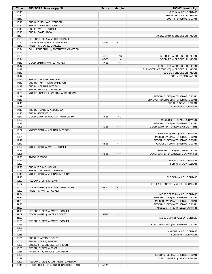| Time           | <b>VISITORS: Mississippi St.</b>       | <b>Score</b> | <b>Margin</b> | <b>HOME: Kentucky</b>                     |
|----------------|----------------------------------------|--------------|---------------|-------------------------------------------|
| 16:10          |                                        |              |               | SUB IN: ALLEN, DONTAIE                    |
| 16:10          |                                        |              |               | SUB IN: BROOKS JR., KEION                 |
| 16:10          |                                        |              |               | SUB IN: TSHIEBWE, OSCAR                   |
| 16:10          | SUB OUT: MOLINAR, IVERSON              |              |               |                                           |
| 16:10          | SUB OUT: BROOKS, GARRISON              |              |               |                                           |
| 16:10          | SUB IN: WATTS, ROCKET                  |              |               |                                           |
| 16:10          | SUB IN: DAVIS, JAVIAN                  |              |               |                                           |
| 16:01          |                                        |              |               | MISSED 3PTR by BROOKS JR., KEION          |
| 15:58          | REBOUND (DEF) by MOORE, SHAKEEL        |              |               |                                           |
| 15:42          | GOOD! DUNK by DAVIS, JAVIAN [PNT]      | 45-33        | H 12          |                                           |
| 15:42          | ASSIST by MOORE, SHAKEEL               |              |               |                                           |
| 15:24          | FOUL (PERSONAL) by MATTHEWS, CAMERON   |              |               |                                           |
| 15:24          |                                        |              |               |                                           |
| 15:24          |                                        | 46-33        | H 13          | GOOD! FT by BROOKS JR., KEION             |
| 15:24          |                                        | 47-33        | H 14          | GOOD! FT by BROOKS JR., KEION             |
| 14:57          | GOOD! 3PTR by WATTS, ROCKET            | 47-36        | H 11          |                                           |
| 14:47          |                                        |              |               | FOUL (OFF) by BROOKS JR., KEION           |
| 14:47          |                                        |              |               | TURNOVER (OFFENSIVE) by BROOKS JR., KEION |
| 14:47          |                                        |              |               | SUB OUT: BROOKS JR., KEION                |
| 14:47          |                                        |              |               | SUB IN: TOPPIN, JACOB                     |
| 14:47          | SUB OUT: MOORE, SHAKEEL                |              |               |                                           |
| 14:47          | SUB OUT: MATTHEWS, CAMERON             |              |               |                                           |
| 14:47          | SUB IN: MOLINAR, IVERSON               |              |               |                                           |
| 14:47          | SUB IN: BROOKS, GARRISON               |              |               |                                           |
| 14:33          | MISSED JUMPER by GARCIA, ANDERSSON     |              |               |                                           |
| 14:29          |                                        |              |               | REBOUND (DEF) by TSHIEBWE, OSCAR          |
| 14:18          |                                        |              |               | TURNOVER (BADPASS) by TSHIEBWE, OSCAR     |
| 14:18          |                                        |              |               | SUB OUT: GRADY, KELLAN                    |
| 14:18          |                                        |              |               | SUB IN: MINTZ, DAVION                     |
| 14:18          | SUB OUT: GARCIA, ANDERSSON             |              |               |                                           |
| 14:18          | SUB IN: JEFFRIES, D.J.                 |              |               |                                           |
| 13:47          | GOOD! LAYUP by MOLINAR, IVERSON [PNT]  | 47-38        | H9            |                                           |
| 13:30          |                                        |              |               | MISSED 3PTR by MINTZ, DAVION              |
| 13:27          |                                        |              |               | REBOUND (OFF) by TSHIEBWE, OSCAR          |
| 13:26          |                                        | 49-38        | H 11          | GOOD! LAYUP by TSHIEBWE, OSCAR [PNT]      |
| 13:07          | MISSED 3PTR by MOLINAR, IVERSON        |              |               |                                           |
| 13:03          |                                        |              |               | REBOUND (DEF) by MINTZ, DAVION            |
| 12:54          |                                        |              |               | MISSED LAYUP by TSHIEBWE, OSCAR           |
| 12:49          |                                        |              |               | REBOUND (OFF) by TSHIEBWE, OSCAR          |
| 12:49          |                                        | 51-38        | H 13          | GOOD! LAYUP by TSHIEBWE, OSCAR            |
| 12:32          | MISSED 3PTR by WATTS, ROCKET           |              |               |                                           |
| 12:29          |                                        |              |               | REBOUND (DEF) by TOPPIN, JACOB            |
| 12:25          |                                        | 53-38        | H 15          | GOOD! JUMPER by WHEELER, SAHVIR [FB]      |
| 12:23          | <b>TIMEOUT 30SEC</b>                   |              |               |                                           |
| 12:23          |                                        |              |               | SUB OUT: MINTZ, DAVION                    |
| 12:23          |                                        |              |               | SUB IN: GRADY, KELLAN                     |
| 12:23          | SUB OUT: DAVIS, JAVIAN                 |              |               |                                           |
| 12:23          | SUB IN: MATTHEWS, CAMERON              |              |               |                                           |
| 12:10          | MISSED 3PTR by MOLINAR, IVERSON        |              |               |                                           |
| 12:10          |                                        |              |               | BLOCK by ALLEN, DONTAIE                   |
| 12:07          | REBOUND (OFF) by TEAM                  |              |               |                                           |
| 12:07          |                                        |              |               | FOUL (PERSONAL) by WHEELER, SAHVIR        |
| 12:07          | GOOD! LAYUP by MOLINAR, IVERSON [PNT]  | 53-40        | H 13          |                                           |
| 12:07          | ASSIST by WATTS, ROCKET                |              |               |                                           |
| 11:34          |                                        |              |               | MISSED 3PTR by ALLEN, DONTAIE             |
| 11:31          |                                        |              |               | REBOUND (OFF) by TSHIEBWE, OSCAR          |
| 11:29          |                                        |              |               | MISSED LAYUP by TSHIEBWE, OSCAR           |
| 11:26          |                                        |              |               | REBOUND (OFF) by TSHIEBWE, OSCAR          |
| 11:20          |                                        |              |               | MISSED 3PTR by WHEELER, SAHVIR            |
| 11:16          | REBOUND (DEF) by WATTS, ROCKET         |              |               |                                           |
| 11:09          | GOOD! LAYUP by WATTS, ROCKET           | 53-42        | H 11          |                                           |
| 11:02          |                                        |              |               | MISSED 3PTR by ALLEN, DONTAIE             |
| 10:59          | REBOUND (DEF) by WATTS, ROCKET         |              |               |                                           |
| 10:55          |                                        |              |               | FOUL (PERSONAL) by TSHIEBWE, OSCAR        |
| 10:55          |                                        |              |               |                                           |
| 10:55          |                                        |              |               | SUB OUT: ALLEN, DONTAIE                   |
| 10:55          |                                        |              |               | SUB IN: MINTZ, DAVION                     |
| 10:55          | SUB OUT: WATTS, ROCKET                 |              |               |                                           |
| 10:55          | SUB IN: MOORE, SHAKEEL                 |              |               |                                           |
| 10:55          | MISSED FT by BROOKS, GARRISON          |              |               |                                           |
| 10:55          | REBOUND (OFF) by TEAM                  |              |               |                                           |
| 10:55<br>10:55 | MISSED FT by BROOKS, GARRISON          |              |               | REBOUND (DEF) by TSHIEBWE, OSCAR          |
| 10:29          |                                        |              |               | MISSED JUMPER by GRADY, KELLAN            |
| 10:27          | REBOUND (DEF) by MATTHEWS, CAMERON     |              |               |                                           |
| 10:14          | GOOD! JUMPER by BROOKS, GARRISON [PNT] | 53-44        | H 9           |                                           |
|                |                                        |              |               |                                           |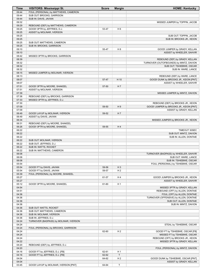| FOUL (PERSONAL) by MATTHEWS, CAMERON<br>09:44<br>SUB OUT: BROOKS, GARRISON<br>09:44<br>SUB IN: DAVIS, JAVIAN<br>09:44<br>09:32<br>MISSED JUMPER by TOPPIN, JACOB<br>09:29<br>REBOUND (DEF) by MATTHEWS, CAMERON<br>GOOD! 3PTR by JEFFRIES, D.J.<br>H <sub>6</sub><br>09:25<br>53-47<br>09:25<br>ASSIST by MOLINAR, IVERSON<br>09:25<br>SUB OUT: TOPPIN, JACOB<br>09:25<br>SUB IN: BROOKS JR., KEION<br>09:25<br>SUB OUT: MATTHEWS, CAMERON<br>09:25<br>SUB IN: BROOKS, GARRISON<br>09:10<br>55-47<br>H <sub>8</sub><br>GOOD! JUMPER by GRADY, KELLAN<br>ASSIST by WHEELER, SAHVIR<br>09:10<br>08:42<br>MISSED 3PTR by BROOKS, GARRISON<br>REBOUND (DEF) by GRADY, KELLAN<br>08:39<br>TURNOVER (OUTOFBOUNDS) by MINTZ, DAVION<br>08:32<br>08:32<br>SUB OUT: TSHIEBWE, OSCAR<br>08:32<br>SUB IN: WARE, LANCE<br>08:15<br>MISSED JUMPER by MOLINAR, IVERSON<br>08:13<br>REBOUND (DEF) by WARE, LANCE<br>08:07<br>H 10<br>GOOD! DUNK by BROOKS JR., KEION [PNT]<br>57-47<br>08:07<br>ASSIST by WHEELER, SAHVIR<br>07:51<br>GOOD! 3PTR by MOORE, SHAKEEL<br>57-50<br>H <sub>7</sub><br>07:51<br>ASSIST by MOLINAR, IVERSON<br>07:39<br>MISSED JUMPER by MINTZ, DAVION<br>07:36<br>REBOUND (DEF) by BROOKS, GARRISON<br>07:33<br>MISSED 3PTR by JEFFRIES, D.J.<br>07:30<br>REBOUND (DEF) by BROOKS JR., KEION<br>07:09<br>H9<br>59-50<br>GOOD! JUMPER by BROOKS JR., KEION [PNT]<br>07:09<br>ASSIST by GRADY, KELLAN<br>06:49<br>GOOD! LAYUP by MOLINAR, IVERSON<br>59-52<br>H <sub>7</sub><br>ASSIST by DAVIS, JAVIAN<br>06:49<br>06:34<br>MISSED JUMPER by BROOKS JR., KEION<br>06:31<br>REBOUND (DEF) by MOORE, SHAKEEL<br>06:26<br>H4<br>GOOD! 3PTR by MOORE, SHAKEEL<br>59-55<br>06:22<br>TIMEOUT 30SEC<br>06:22<br>SUB OUT: MINTZ, DAVION<br>06:22<br>SUB IN: ALLEN, DONTAIE<br>06:22<br>SUB OUT: MOLINAR, IVERSON<br>06:22<br>SUB OUT: JEFFRIES, D.J.<br>06:22<br>SUB IN: WATTS, ROCKET<br>06:22<br>SUB IN: MATTHEWS, CAMERON<br>06:08<br>TURNOVER (BADPASS) by WHEELER, SAHVIR<br>06:08<br>SUB OUT: WARE, LANCE<br>SUB IN: TSHIEBWE, OSCAR<br>06:08<br>05:54<br>FOUL (PERSONAL) by TSHIEBWE, OSCAR<br>05:54<br>GOOD! FT by DAVIS, JAVIAN<br>59-56<br>$H_3$<br>GOOD! FT by DAVIS, JAVIAN<br>H <sub>2</sub><br>05:54<br>59-57<br>05:39<br>FOUL (PERSONAL) by MOORE, SHAKEEL<br>05:27<br>H 4<br>GOOD! JUMPER by BROOKS JR., KEION<br>61-57<br>05:27<br>ASSIST by WHEELER, SAHVIR<br>05:12<br>GOOD! 3PTR by MOORE, SHAKEEL<br>61-60<br>H 1<br>04:54<br>MISSED 3PTR by GRADY, KELLAN<br>04:51<br>REBOUND (OFF) by ALLEN, DONTAIE<br>04:36<br>FOUL (OFF) by ALLEN, DONTAIE<br>04:36<br>TURNOVER (OFFENSIVE) by ALLEN, DONTAIE<br>04:36<br>SUB OUT: ALLEN, DONTAIE<br>04:36<br>SUB IN: MINTZ, DAVION<br>04:36<br>SUB OUT: WATTS, ROCKET<br>04:36<br>SUB OUT: MATTHEWS, CAMERON<br>04:36<br>SUB IN: MOLINAR, IVERSON<br>04:36<br>SUB IN: JEFFRIES, D.J.<br>04:24<br>TURNOVER (BADPASS) by MOLINAR, IVERSON<br>04:24<br>STEAL by TSHIEBWE, OSCAR<br>04:24<br>FOUL (PERSONAL) by BROOKS, GARRISON<br>04:24<br>H <sub>2</sub><br>62-60<br>GOOD! FT by TSHIEBWE, OSCAR [FB]<br>04:24<br>MISSED FT by TSHIEBWE, OSCAR<br>04:24<br>REBOUND (OFF) by BROOKS JR., KEION<br>04:22<br>MISSED 3PTR by GRADY, KELLAN<br>04:20<br>REBOUND (DEF) by JEFFRIES, D.J.<br>04:20<br>FOUL (PERSONAL) by MINTZ, DAVION<br>H <sub>1</sub><br>04:16<br>GOOD! FT by JEFFRIES, D.J. [FB]<br>62-61<br>$\mathsf T$<br>04:16<br>GOOD! FT by JEFFRIES, D.J. [FB]<br>62-62<br>04:04<br>H <sub>2</sub><br>64-62<br>GOOD! DUNK by TSHIEBWE, OSCAR [PNT]<br>04:04<br>ASSIST by GRADY, KELLAN<br>03:45<br>T<br>GOOD! LAYUP by MOLINAR, IVERSON [PNT]<br>64-64 | Time | <b>VISITORS: Mississippi St.</b> | <b>Score</b> | <b>Margin</b> | <b>HOME: Kentucky</b> |
|-----------------------------------------------------------------------------------------------------------------------------------------------------------------------------------------------------------------------------------------------------------------------------------------------------------------------------------------------------------------------------------------------------------------------------------------------------------------------------------------------------------------------------------------------------------------------------------------------------------------------------------------------------------------------------------------------------------------------------------------------------------------------------------------------------------------------------------------------------------------------------------------------------------------------------------------------------------------------------------------------------------------------------------------------------------------------------------------------------------------------------------------------------------------------------------------------------------------------------------------------------------------------------------------------------------------------------------------------------------------------------------------------------------------------------------------------------------------------------------------------------------------------------------------------------------------------------------------------------------------------------------------------------------------------------------------------------------------------------------------------------------------------------------------------------------------------------------------------------------------------------------------------------------------------------------------------------------------------------------------------------------------------------------------------------------------------------------------------------------------------------------------------------------------------------------------------------------------------------------------------------------------------------------------------------------------------------------------------------------------------------------------------------------------------------------------------------------------------------------------------------------------------------------------------------------------------------------------------------------------------------------------------------------------------------------------------------------------------------------------------------------------------------------------------------------------------------------------------------------------------------------------------------------------------------------------------------------------------------------------------------------------------------------------------------------------------------------------------------------------------------------------------------------------------------------------------------------------------------------------------------------------------------------------------------------------------------------------------------------------------------------------------------------------------------------------------------------------------------------------------------------------------------------------------------------------------------------------------------------------------|------|----------------------------------|--------------|---------------|-----------------------|
|                                                                                                                                                                                                                                                                                                                                                                                                                                                                                                                                                                                                                                                                                                                                                                                                                                                                                                                                                                                                                                                                                                                                                                                                                                                                                                                                                                                                                                                                                                                                                                                                                                                                                                                                                                                                                                                                                                                                                                                                                                                                                                                                                                                                                                                                                                                                                                                                                                                                                                                                                                                                                                                                                                                                                                                                                                                                                                                                                                                                                                                                                                                                                                                                                                                                                                                                                                                                                                                                                                                                                                                                                       |      |                                  |              |               |                       |
|                                                                                                                                                                                                                                                                                                                                                                                                                                                                                                                                                                                                                                                                                                                                                                                                                                                                                                                                                                                                                                                                                                                                                                                                                                                                                                                                                                                                                                                                                                                                                                                                                                                                                                                                                                                                                                                                                                                                                                                                                                                                                                                                                                                                                                                                                                                                                                                                                                                                                                                                                                                                                                                                                                                                                                                                                                                                                                                                                                                                                                                                                                                                                                                                                                                                                                                                                                                                                                                                                                                                                                                                                       |      |                                  |              |               |                       |
|                                                                                                                                                                                                                                                                                                                                                                                                                                                                                                                                                                                                                                                                                                                                                                                                                                                                                                                                                                                                                                                                                                                                                                                                                                                                                                                                                                                                                                                                                                                                                                                                                                                                                                                                                                                                                                                                                                                                                                                                                                                                                                                                                                                                                                                                                                                                                                                                                                                                                                                                                                                                                                                                                                                                                                                                                                                                                                                                                                                                                                                                                                                                                                                                                                                                                                                                                                                                                                                                                                                                                                                                                       |      |                                  |              |               |                       |
|                                                                                                                                                                                                                                                                                                                                                                                                                                                                                                                                                                                                                                                                                                                                                                                                                                                                                                                                                                                                                                                                                                                                                                                                                                                                                                                                                                                                                                                                                                                                                                                                                                                                                                                                                                                                                                                                                                                                                                                                                                                                                                                                                                                                                                                                                                                                                                                                                                                                                                                                                                                                                                                                                                                                                                                                                                                                                                                                                                                                                                                                                                                                                                                                                                                                                                                                                                                                                                                                                                                                                                                                                       |      |                                  |              |               |                       |
|                                                                                                                                                                                                                                                                                                                                                                                                                                                                                                                                                                                                                                                                                                                                                                                                                                                                                                                                                                                                                                                                                                                                                                                                                                                                                                                                                                                                                                                                                                                                                                                                                                                                                                                                                                                                                                                                                                                                                                                                                                                                                                                                                                                                                                                                                                                                                                                                                                                                                                                                                                                                                                                                                                                                                                                                                                                                                                                                                                                                                                                                                                                                                                                                                                                                                                                                                                                                                                                                                                                                                                                                                       |      |                                  |              |               |                       |
|                                                                                                                                                                                                                                                                                                                                                                                                                                                                                                                                                                                                                                                                                                                                                                                                                                                                                                                                                                                                                                                                                                                                                                                                                                                                                                                                                                                                                                                                                                                                                                                                                                                                                                                                                                                                                                                                                                                                                                                                                                                                                                                                                                                                                                                                                                                                                                                                                                                                                                                                                                                                                                                                                                                                                                                                                                                                                                                                                                                                                                                                                                                                                                                                                                                                                                                                                                                                                                                                                                                                                                                                                       |      |                                  |              |               |                       |
|                                                                                                                                                                                                                                                                                                                                                                                                                                                                                                                                                                                                                                                                                                                                                                                                                                                                                                                                                                                                                                                                                                                                                                                                                                                                                                                                                                                                                                                                                                                                                                                                                                                                                                                                                                                                                                                                                                                                                                                                                                                                                                                                                                                                                                                                                                                                                                                                                                                                                                                                                                                                                                                                                                                                                                                                                                                                                                                                                                                                                                                                                                                                                                                                                                                                                                                                                                                                                                                                                                                                                                                                                       |      |                                  |              |               |                       |
|                                                                                                                                                                                                                                                                                                                                                                                                                                                                                                                                                                                                                                                                                                                                                                                                                                                                                                                                                                                                                                                                                                                                                                                                                                                                                                                                                                                                                                                                                                                                                                                                                                                                                                                                                                                                                                                                                                                                                                                                                                                                                                                                                                                                                                                                                                                                                                                                                                                                                                                                                                                                                                                                                                                                                                                                                                                                                                                                                                                                                                                                                                                                                                                                                                                                                                                                                                                                                                                                                                                                                                                                                       |      |                                  |              |               |                       |
|                                                                                                                                                                                                                                                                                                                                                                                                                                                                                                                                                                                                                                                                                                                                                                                                                                                                                                                                                                                                                                                                                                                                                                                                                                                                                                                                                                                                                                                                                                                                                                                                                                                                                                                                                                                                                                                                                                                                                                                                                                                                                                                                                                                                                                                                                                                                                                                                                                                                                                                                                                                                                                                                                                                                                                                                                                                                                                                                                                                                                                                                                                                                                                                                                                                                                                                                                                                                                                                                                                                                                                                                                       |      |                                  |              |               |                       |
|                                                                                                                                                                                                                                                                                                                                                                                                                                                                                                                                                                                                                                                                                                                                                                                                                                                                                                                                                                                                                                                                                                                                                                                                                                                                                                                                                                                                                                                                                                                                                                                                                                                                                                                                                                                                                                                                                                                                                                                                                                                                                                                                                                                                                                                                                                                                                                                                                                                                                                                                                                                                                                                                                                                                                                                                                                                                                                                                                                                                                                                                                                                                                                                                                                                                                                                                                                                                                                                                                                                                                                                                                       |      |                                  |              |               |                       |
|                                                                                                                                                                                                                                                                                                                                                                                                                                                                                                                                                                                                                                                                                                                                                                                                                                                                                                                                                                                                                                                                                                                                                                                                                                                                                                                                                                                                                                                                                                                                                                                                                                                                                                                                                                                                                                                                                                                                                                                                                                                                                                                                                                                                                                                                                                                                                                                                                                                                                                                                                                                                                                                                                                                                                                                                                                                                                                                                                                                                                                                                                                                                                                                                                                                                                                                                                                                                                                                                                                                                                                                                                       |      |                                  |              |               |                       |
|                                                                                                                                                                                                                                                                                                                                                                                                                                                                                                                                                                                                                                                                                                                                                                                                                                                                                                                                                                                                                                                                                                                                                                                                                                                                                                                                                                                                                                                                                                                                                                                                                                                                                                                                                                                                                                                                                                                                                                                                                                                                                                                                                                                                                                                                                                                                                                                                                                                                                                                                                                                                                                                                                                                                                                                                                                                                                                                                                                                                                                                                                                                                                                                                                                                                                                                                                                                                                                                                                                                                                                                                                       |      |                                  |              |               |                       |
|                                                                                                                                                                                                                                                                                                                                                                                                                                                                                                                                                                                                                                                                                                                                                                                                                                                                                                                                                                                                                                                                                                                                                                                                                                                                                                                                                                                                                                                                                                                                                                                                                                                                                                                                                                                                                                                                                                                                                                                                                                                                                                                                                                                                                                                                                                                                                                                                                                                                                                                                                                                                                                                                                                                                                                                                                                                                                                                                                                                                                                                                                                                                                                                                                                                                                                                                                                                                                                                                                                                                                                                                                       |      |                                  |              |               |                       |
|                                                                                                                                                                                                                                                                                                                                                                                                                                                                                                                                                                                                                                                                                                                                                                                                                                                                                                                                                                                                                                                                                                                                                                                                                                                                                                                                                                                                                                                                                                                                                                                                                                                                                                                                                                                                                                                                                                                                                                                                                                                                                                                                                                                                                                                                                                                                                                                                                                                                                                                                                                                                                                                                                                                                                                                                                                                                                                                                                                                                                                                                                                                                                                                                                                                                                                                                                                                                                                                                                                                                                                                                                       |      |                                  |              |               |                       |
|                                                                                                                                                                                                                                                                                                                                                                                                                                                                                                                                                                                                                                                                                                                                                                                                                                                                                                                                                                                                                                                                                                                                                                                                                                                                                                                                                                                                                                                                                                                                                                                                                                                                                                                                                                                                                                                                                                                                                                                                                                                                                                                                                                                                                                                                                                                                                                                                                                                                                                                                                                                                                                                                                                                                                                                                                                                                                                                                                                                                                                                                                                                                                                                                                                                                                                                                                                                                                                                                                                                                                                                                                       |      |                                  |              |               |                       |
|                                                                                                                                                                                                                                                                                                                                                                                                                                                                                                                                                                                                                                                                                                                                                                                                                                                                                                                                                                                                                                                                                                                                                                                                                                                                                                                                                                                                                                                                                                                                                                                                                                                                                                                                                                                                                                                                                                                                                                                                                                                                                                                                                                                                                                                                                                                                                                                                                                                                                                                                                                                                                                                                                                                                                                                                                                                                                                                                                                                                                                                                                                                                                                                                                                                                                                                                                                                                                                                                                                                                                                                                                       |      |                                  |              |               |                       |
|                                                                                                                                                                                                                                                                                                                                                                                                                                                                                                                                                                                                                                                                                                                                                                                                                                                                                                                                                                                                                                                                                                                                                                                                                                                                                                                                                                                                                                                                                                                                                                                                                                                                                                                                                                                                                                                                                                                                                                                                                                                                                                                                                                                                                                                                                                                                                                                                                                                                                                                                                                                                                                                                                                                                                                                                                                                                                                                                                                                                                                                                                                                                                                                                                                                                                                                                                                                                                                                                                                                                                                                                                       |      |                                  |              |               |                       |
|                                                                                                                                                                                                                                                                                                                                                                                                                                                                                                                                                                                                                                                                                                                                                                                                                                                                                                                                                                                                                                                                                                                                                                                                                                                                                                                                                                                                                                                                                                                                                                                                                                                                                                                                                                                                                                                                                                                                                                                                                                                                                                                                                                                                                                                                                                                                                                                                                                                                                                                                                                                                                                                                                                                                                                                                                                                                                                                                                                                                                                                                                                                                                                                                                                                                                                                                                                                                                                                                                                                                                                                                                       |      |                                  |              |               |                       |
|                                                                                                                                                                                                                                                                                                                                                                                                                                                                                                                                                                                                                                                                                                                                                                                                                                                                                                                                                                                                                                                                                                                                                                                                                                                                                                                                                                                                                                                                                                                                                                                                                                                                                                                                                                                                                                                                                                                                                                                                                                                                                                                                                                                                                                                                                                                                                                                                                                                                                                                                                                                                                                                                                                                                                                                                                                                                                                                                                                                                                                                                                                                                                                                                                                                                                                                                                                                                                                                                                                                                                                                                                       |      |                                  |              |               |                       |
|                                                                                                                                                                                                                                                                                                                                                                                                                                                                                                                                                                                                                                                                                                                                                                                                                                                                                                                                                                                                                                                                                                                                                                                                                                                                                                                                                                                                                                                                                                                                                                                                                                                                                                                                                                                                                                                                                                                                                                                                                                                                                                                                                                                                                                                                                                                                                                                                                                                                                                                                                                                                                                                                                                                                                                                                                                                                                                                                                                                                                                                                                                                                                                                                                                                                                                                                                                                                                                                                                                                                                                                                                       |      |                                  |              |               |                       |
|                                                                                                                                                                                                                                                                                                                                                                                                                                                                                                                                                                                                                                                                                                                                                                                                                                                                                                                                                                                                                                                                                                                                                                                                                                                                                                                                                                                                                                                                                                                                                                                                                                                                                                                                                                                                                                                                                                                                                                                                                                                                                                                                                                                                                                                                                                                                                                                                                                                                                                                                                                                                                                                                                                                                                                                                                                                                                                                                                                                                                                                                                                                                                                                                                                                                                                                                                                                                                                                                                                                                                                                                                       |      |                                  |              |               |                       |
|                                                                                                                                                                                                                                                                                                                                                                                                                                                                                                                                                                                                                                                                                                                                                                                                                                                                                                                                                                                                                                                                                                                                                                                                                                                                                                                                                                                                                                                                                                                                                                                                                                                                                                                                                                                                                                                                                                                                                                                                                                                                                                                                                                                                                                                                                                                                                                                                                                                                                                                                                                                                                                                                                                                                                                                                                                                                                                                                                                                                                                                                                                                                                                                                                                                                                                                                                                                                                                                                                                                                                                                                                       |      |                                  |              |               |                       |
|                                                                                                                                                                                                                                                                                                                                                                                                                                                                                                                                                                                                                                                                                                                                                                                                                                                                                                                                                                                                                                                                                                                                                                                                                                                                                                                                                                                                                                                                                                                                                                                                                                                                                                                                                                                                                                                                                                                                                                                                                                                                                                                                                                                                                                                                                                                                                                                                                                                                                                                                                                                                                                                                                                                                                                                                                                                                                                                                                                                                                                                                                                                                                                                                                                                                                                                                                                                                                                                                                                                                                                                                                       |      |                                  |              |               |                       |
|                                                                                                                                                                                                                                                                                                                                                                                                                                                                                                                                                                                                                                                                                                                                                                                                                                                                                                                                                                                                                                                                                                                                                                                                                                                                                                                                                                                                                                                                                                                                                                                                                                                                                                                                                                                                                                                                                                                                                                                                                                                                                                                                                                                                                                                                                                                                                                                                                                                                                                                                                                                                                                                                                                                                                                                                                                                                                                                                                                                                                                                                                                                                                                                                                                                                                                                                                                                                                                                                                                                                                                                                                       |      |                                  |              |               |                       |
|                                                                                                                                                                                                                                                                                                                                                                                                                                                                                                                                                                                                                                                                                                                                                                                                                                                                                                                                                                                                                                                                                                                                                                                                                                                                                                                                                                                                                                                                                                                                                                                                                                                                                                                                                                                                                                                                                                                                                                                                                                                                                                                                                                                                                                                                                                                                                                                                                                                                                                                                                                                                                                                                                                                                                                                                                                                                                                                                                                                                                                                                                                                                                                                                                                                                                                                                                                                                                                                                                                                                                                                                                       |      |                                  |              |               |                       |
|                                                                                                                                                                                                                                                                                                                                                                                                                                                                                                                                                                                                                                                                                                                                                                                                                                                                                                                                                                                                                                                                                                                                                                                                                                                                                                                                                                                                                                                                                                                                                                                                                                                                                                                                                                                                                                                                                                                                                                                                                                                                                                                                                                                                                                                                                                                                                                                                                                                                                                                                                                                                                                                                                                                                                                                                                                                                                                                                                                                                                                                                                                                                                                                                                                                                                                                                                                                                                                                                                                                                                                                                                       |      |                                  |              |               |                       |
|                                                                                                                                                                                                                                                                                                                                                                                                                                                                                                                                                                                                                                                                                                                                                                                                                                                                                                                                                                                                                                                                                                                                                                                                                                                                                                                                                                                                                                                                                                                                                                                                                                                                                                                                                                                                                                                                                                                                                                                                                                                                                                                                                                                                                                                                                                                                                                                                                                                                                                                                                                                                                                                                                                                                                                                                                                                                                                                                                                                                                                                                                                                                                                                                                                                                                                                                                                                                                                                                                                                                                                                                                       |      |                                  |              |               |                       |
|                                                                                                                                                                                                                                                                                                                                                                                                                                                                                                                                                                                                                                                                                                                                                                                                                                                                                                                                                                                                                                                                                                                                                                                                                                                                                                                                                                                                                                                                                                                                                                                                                                                                                                                                                                                                                                                                                                                                                                                                                                                                                                                                                                                                                                                                                                                                                                                                                                                                                                                                                                                                                                                                                                                                                                                                                                                                                                                                                                                                                                                                                                                                                                                                                                                                                                                                                                                                                                                                                                                                                                                                                       |      |                                  |              |               |                       |
|                                                                                                                                                                                                                                                                                                                                                                                                                                                                                                                                                                                                                                                                                                                                                                                                                                                                                                                                                                                                                                                                                                                                                                                                                                                                                                                                                                                                                                                                                                                                                                                                                                                                                                                                                                                                                                                                                                                                                                                                                                                                                                                                                                                                                                                                                                                                                                                                                                                                                                                                                                                                                                                                                                                                                                                                                                                                                                                                                                                                                                                                                                                                                                                                                                                                                                                                                                                                                                                                                                                                                                                                                       |      |                                  |              |               |                       |
|                                                                                                                                                                                                                                                                                                                                                                                                                                                                                                                                                                                                                                                                                                                                                                                                                                                                                                                                                                                                                                                                                                                                                                                                                                                                                                                                                                                                                                                                                                                                                                                                                                                                                                                                                                                                                                                                                                                                                                                                                                                                                                                                                                                                                                                                                                                                                                                                                                                                                                                                                                                                                                                                                                                                                                                                                                                                                                                                                                                                                                                                                                                                                                                                                                                                                                                                                                                                                                                                                                                                                                                                                       |      |                                  |              |               |                       |
|                                                                                                                                                                                                                                                                                                                                                                                                                                                                                                                                                                                                                                                                                                                                                                                                                                                                                                                                                                                                                                                                                                                                                                                                                                                                                                                                                                                                                                                                                                                                                                                                                                                                                                                                                                                                                                                                                                                                                                                                                                                                                                                                                                                                                                                                                                                                                                                                                                                                                                                                                                                                                                                                                                                                                                                                                                                                                                                                                                                                                                                                                                                                                                                                                                                                                                                                                                                                                                                                                                                                                                                                                       |      |                                  |              |               |                       |
|                                                                                                                                                                                                                                                                                                                                                                                                                                                                                                                                                                                                                                                                                                                                                                                                                                                                                                                                                                                                                                                                                                                                                                                                                                                                                                                                                                                                                                                                                                                                                                                                                                                                                                                                                                                                                                                                                                                                                                                                                                                                                                                                                                                                                                                                                                                                                                                                                                                                                                                                                                                                                                                                                                                                                                                                                                                                                                                                                                                                                                                                                                                                                                                                                                                                                                                                                                                                                                                                                                                                                                                                                       |      |                                  |              |               |                       |
|                                                                                                                                                                                                                                                                                                                                                                                                                                                                                                                                                                                                                                                                                                                                                                                                                                                                                                                                                                                                                                                                                                                                                                                                                                                                                                                                                                                                                                                                                                                                                                                                                                                                                                                                                                                                                                                                                                                                                                                                                                                                                                                                                                                                                                                                                                                                                                                                                                                                                                                                                                                                                                                                                                                                                                                                                                                                                                                                                                                                                                                                                                                                                                                                                                                                                                                                                                                                                                                                                                                                                                                                                       |      |                                  |              |               |                       |
|                                                                                                                                                                                                                                                                                                                                                                                                                                                                                                                                                                                                                                                                                                                                                                                                                                                                                                                                                                                                                                                                                                                                                                                                                                                                                                                                                                                                                                                                                                                                                                                                                                                                                                                                                                                                                                                                                                                                                                                                                                                                                                                                                                                                                                                                                                                                                                                                                                                                                                                                                                                                                                                                                                                                                                                                                                                                                                                                                                                                                                                                                                                                                                                                                                                                                                                                                                                                                                                                                                                                                                                                                       |      |                                  |              |               |                       |
|                                                                                                                                                                                                                                                                                                                                                                                                                                                                                                                                                                                                                                                                                                                                                                                                                                                                                                                                                                                                                                                                                                                                                                                                                                                                                                                                                                                                                                                                                                                                                                                                                                                                                                                                                                                                                                                                                                                                                                                                                                                                                                                                                                                                                                                                                                                                                                                                                                                                                                                                                                                                                                                                                                                                                                                                                                                                                                                                                                                                                                                                                                                                                                                                                                                                                                                                                                                                                                                                                                                                                                                                                       |      |                                  |              |               |                       |
|                                                                                                                                                                                                                                                                                                                                                                                                                                                                                                                                                                                                                                                                                                                                                                                                                                                                                                                                                                                                                                                                                                                                                                                                                                                                                                                                                                                                                                                                                                                                                                                                                                                                                                                                                                                                                                                                                                                                                                                                                                                                                                                                                                                                                                                                                                                                                                                                                                                                                                                                                                                                                                                                                                                                                                                                                                                                                                                                                                                                                                                                                                                                                                                                                                                                                                                                                                                                                                                                                                                                                                                                                       |      |                                  |              |               |                       |
|                                                                                                                                                                                                                                                                                                                                                                                                                                                                                                                                                                                                                                                                                                                                                                                                                                                                                                                                                                                                                                                                                                                                                                                                                                                                                                                                                                                                                                                                                                                                                                                                                                                                                                                                                                                                                                                                                                                                                                                                                                                                                                                                                                                                                                                                                                                                                                                                                                                                                                                                                                                                                                                                                                                                                                                                                                                                                                                                                                                                                                                                                                                                                                                                                                                                                                                                                                                                                                                                                                                                                                                                                       |      |                                  |              |               |                       |
|                                                                                                                                                                                                                                                                                                                                                                                                                                                                                                                                                                                                                                                                                                                                                                                                                                                                                                                                                                                                                                                                                                                                                                                                                                                                                                                                                                                                                                                                                                                                                                                                                                                                                                                                                                                                                                                                                                                                                                                                                                                                                                                                                                                                                                                                                                                                                                                                                                                                                                                                                                                                                                                                                                                                                                                                                                                                                                                                                                                                                                                                                                                                                                                                                                                                                                                                                                                                                                                                                                                                                                                                                       |      |                                  |              |               |                       |
|                                                                                                                                                                                                                                                                                                                                                                                                                                                                                                                                                                                                                                                                                                                                                                                                                                                                                                                                                                                                                                                                                                                                                                                                                                                                                                                                                                                                                                                                                                                                                                                                                                                                                                                                                                                                                                                                                                                                                                                                                                                                                                                                                                                                                                                                                                                                                                                                                                                                                                                                                                                                                                                                                                                                                                                                                                                                                                                                                                                                                                                                                                                                                                                                                                                                                                                                                                                                                                                                                                                                                                                                                       |      |                                  |              |               |                       |
|                                                                                                                                                                                                                                                                                                                                                                                                                                                                                                                                                                                                                                                                                                                                                                                                                                                                                                                                                                                                                                                                                                                                                                                                                                                                                                                                                                                                                                                                                                                                                                                                                                                                                                                                                                                                                                                                                                                                                                                                                                                                                                                                                                                                                                                                                                                                                                                                                                                                                                                                                                                                                                                                                                                                                                                                                                                                                                                                                                                                                                                                                                                                                                                                                                                                                                                                                                                                                                                                                                                                                                                                                       |      |                                  |              |               |                       |
|                                                                                                                                                                                                                                                                                                                                                                                                                                                                                                                                                                                                                                                                                                                                                                                                                                                                                                                                                                                                                                                                                                                                                                                                                                                                                                                                                                                                                                                                                                                                                                                                                                                                                                                                                                                                                                                                                                                                                                                                                                                                                                                                                                                                                                                                                                                                                                                                                                                                                                                                                                                                                                                                                                                                                                                                                                                                                                                                                                                                                                                                                                                                                                                                                                                                                                                                                                                                                                                                                                                                                                                                                       |      |                                  |              |               |                       |
|                                                                                                                                                                                                                                                                                                                                                                                                                                                                                                                                                                                                                                                                                                                                                                                                                                                                                                                                                                                                                                                                                                                                                                                                                                                                                                                                                                                                                                                                                                                                                                                                                                                                                                                                                                                                                                                                                                                                                                                                                                                                                                                                                                                                                                                                                                                                                                                                                                                                                                                                                                                                                                                                                                                                                                                                                                                                                                                                                                                                                                                                                                                                                                                                                                                                                                                                                                                                                                                                                                                                                                                                                       |      |                                  |              |               |                       |
|                                                                                                                                                                                                                                                                                                                                                                                                                                                                                                                                                                                                                                                                                                                                                                                                                                                                                                                                                                                                                                                                                                                                                                                                                                                                                                                                                                                                                                                                                                                                                                                                                                                                                                                                                                                                                                                                                                                                                                                                                                                                                                                                                                                                                                                                                                                                                                                                                                                                                                                                                                                                                                                                                                                                                                                                                                                                                                                                                                                                                                                                                                                                                                                                                                                                                                                                                                                                                                                                                                                                                                                                                       |      |                                  |              |               |                       |
|                                                                                                                                                                                                                                                                                                                                                                                                                                                                                                                                                                                                                                                                                                                                                                                                                                                                                                                                                                                                                                                                                                                                                                                                                                                                                                                                                                                                                                                                                                                                                                                                                                                                                                                                                                                                                                                                                                                                                                                                                                                                                                                                                                                                                                                                                                                                                                                                                                                                                                                                                                                                                                                                                                                                                                                                                                                                                                                                                                                                                                                                                                                                                                                                                                                                                                                                                                                                                                                                                                                                                                                                                       |      |                                  |              |               |                       |
|                                                                                                                                                                                                                                                                                                                                                                                                                                                                                                                                                                                                                                                                                                                                                                                                                                                                                                                                                                                                                                                                                                                                                                                                                                                                                                                                                                                                                                                                                                                                                                                                                                                                                                                                                                                                                                                                                                                                                                                                                                                                                                                                                                                                                                                                                                                                                                                                                                                                                                                                                                                                                                                                                                                                                                                                                                                                                                                                                                                                                                                                                                                                                                                                                                                                                                                                                                                                                                                                                                                                                                                                                       |      |                                  |              |               |                       |
|                                                                                                                                                                                                                                                                                                                                                                                                                                                                                                                                                                                                                                                                                                                                                                                                                                                                                                                                                                                                                                                                                                                                                                                                                                                                                                                                                                                                                                                                                                                                                                                                                                                                                                                                                                                                                                                                                                                                                                                                                                                                                                                                                                                                                                                                                                                                                                                                                                                                                                                                                                                                                                                                                                                                                                                                                                                                                                                                                                                                                                                                                                                                                                                                                                                                                                                                                                                                                                                                                                                                                                                                                       |      |                                  |              |               |                       |
|                                                                                                                                                                                                                                                                                                                                                                                                                                                                                                                                                                                                                                                                                                                                                                                                                                                                                                                                                                                                                                                                                                                                                                                                                                                                                                                                                                                                                                                                                                                                                                                                                                                                                                                                                                                                                                                                                                                                                                                                                                                                                                                                                                                                                                                                                                                                                                                                                                                                                                                                                                                                                                                                                                                                                                                                                                                                                                                                                                                                                                                                                                                                                                                                                                                                                                                                                                                                                                                                                                                                                                                                                       |      |                                  |              |               |                       |
|                                                                                                                                                                                                                                                                                                                                                                                                                                                                                                                                                                                                                                                                                                                                                                                                                                                                                                                                                                                                                                                                                                                                                                                                                                                                                                                                                                                                                                                                                                                                                                                                                                                                                                                                                                                                                                                                                                                                                                                                                                                                                                                                                                                                                                                                                                                                                                                                                                                                                                                                                                                                                                                                                                                                                                                                                                                                                                                                                                                                                                                                                                                                                                                                                                                                                                                                                                                                                                                                                                                                                                                                                       |      |                                  |              |               |                       |
|                                                                                                                                                                                                                                                                                                                                                                                                                                                                                                                                                                                                                                                                                                                                                                                                                                                                                                                                                                                                                                                                                                                                                                                                                                                                                                                                                                                                                                                                                                                                                                                                                                                                                                                                                                                                                                                                                                                                                                                                                                                                                                                                                                                                                                                                                                                                                                                                                                                                                                                                                                                                                                                                                                                                                                                                                                                                                                                                                                                                                                                                                                                                                                                                                                                                                                                                                                                                                                                                                                                                                                                                                       |      |                                  |              |               |                       |
|                                                                                                                                                                                                                                                                                                                                                                                                                                                                                                                                                                                                                                                                                                                                                                                                                                                                                                                                                                                                                                                                                                                                                                                                                                                                                                                                                                                                                                                                                                                                                                                                                                                                                                                                                                                                                                                                                                                                                                                                                                                                                                                                                                                                                                                                                                                                                                                                                                                                                                                                                                                                                                                                                                                                                                                                                                                                                                                                                                                                                                                                                                                                                                                                                                                                                                                                                                                                                                                                                                                                                                                                                       |      |                                  |              |               |                       |
|                                                                                                                                                                                                                                                                                                                                                                                                                                                                                                                                                                                                                                                                                                                                                                                                                                                                                                                                                                                                                                                                                                                                                                                                                                                                                                                                                                                                                                                                                                                                                                                                                                                                                                                                                                                                                                                                                                                                                                                                                                                                                                                                                                                                                                                                                                                                                                                                                                                                                                                                                                                                                                                                                                                                                                                                                                                                                                                                                                                                                                                                                                                                                                                                                                                                                                                                                                                                                                                                                                                                                                                                                       |      |                                  |              |               |                       |
|                                                                                                                                                                                                                                                                                                                                                                                                                                                                                                                                                                                                                                                                                                                                                                                                                                                                                                                                                                                                                                                                                                                                                                                                                                                                                                                                                                                                                                                                                                                                                                                                                                                                                                                                                                                                                                                                                                                                                                                                                                                                                                                                                                                                                                                                                                                                                                                                                                                                                                                                                                                                                                                                                                                                                                                                                                                                                                                                                                                                                                                                                                                                                                                                                                                                                                                                                                                                                                                                                                                                                                                                                       |      |                                  |              |               |                       |
|                                                                                                                                                                                                                                                                                                                                                                                                                                                                                                                                                                                                                                                                                                                                                                                                                                                                                                                                                                                                                                                                                                                                                                                                                                                                                                                                                                                                                                                                                                                                                                                                                                                                                                                                                                                                                                                                                                                                                                                                                                                                                                                                                                                                                                                                                                                                                                                                                                                                                                                                                                                                                                                                                                                                                                                                                                                                                                                                                                                                                                                                                                                                                                                                                                                                                                                                                                                                                                                                                                                                                                                                                       |      |                                  |              |               |                       |
|                                                                                                                                                                                                                                                                                                                                                                                                                                                                                                                                                                                                                                                                                                                                                                                                                                                                                                                                                                                                                                                                                                                                                                                                                                                                                                                                                                                                                                                                                                                                                                                                                                                                                                                                                                                                                                                                                                                                                                                                                                                                                                                                                                                                                                                                                                                                                                                                                                                                                                                                                                                                                                                                                                                                                                                                                                                                                                                                                                                                                                                                                                                                                                                                                                                                                                                                                                                                                                                                                                                                                                                                                       |      |                                  |              |               |                       |
|                                                                                                                                                                                                                                                                                                                                                                                                                                                                                                                                                                                                                                                                                                                                                                                                                                                                                                                                                                                                                                                                                                                                                                                                                                                                                                                                                                                                                                                                                                                                                                                                                                                                                                                                                                                                                                                                                                                                                                                                                                                                                                                                                                                                                                                                                                                                                                                                                                                                                                                                                                                                                                                                                                                                                                                                                                                                                                                                                                                                                                                                                                                                                                                                                                                                                                                                                                                                                                                                                                                                                                                                                       |      |                                  |              |               |                       |
|                                                                                                                                                                                                                                                                                                                                                                                                                                                                                                                                                                                                                                                                                                                                                                                                                                                                                                                                                                                                                                                                                                                                                                                                                                                                                                                                                                                                                                                                                                                                                                                                                                                                                                                                                                                                                                                                                                                                                                                                                                                                                                                                                                                                                                                                                                                                                                                                                                                                                                                                                                                                                                                                                                                                                                                                                                                                                                                                                                                                                                                                                                                                                                                                                                                                                                                                                                                                                                                                                                                                                                                                                       |      |                                  |              |               |                       |
|                                                                                                                                                                                                                                                                                                                                                                                                                                                                                                                                                                                                                                                                                                                                                                                                                                                                                                                                                                                                                                                                                                                                                                                                                                                                                                                                                                                                                                                                                                                                                                                                                                                                                                                                                                                                                                                                                                                                                                                                                                                                                                                                                                                                                                                                                                                                                                                                                                                                                                                                                                                                                                                                                                                                                                                                                                                                                                                                                                                                                                                                                                                                                                                                                                                                                                                                                                                                                                                                                                                                                                                                                       |      |                                  |              |               |                       |
|                                                                                                                                                                                                                                                                                                                                                                                                                                                                                                                                                                                                                                                                                                                                                                                                                                                                                                                                                                                                                                                                                                                                                                                                                                                                                                                                                                                                                                                                                                                                                                                                                                                                                                                                                                                                                                                                                                                                                                                                                                                                                                                                                                                                                                                                                                                                                                                                                                                                                                                                                                                                                                                                                                                                                                                                                                                                                                                                                                                                                                                                                                                                                                                                                                                                                                                                                                                                                                                                                                                                                                                                                       |      |                                  |              |               |                       |
|                                                                                                                                                                                                                                                                                                                                                                                                                                                                                                                                                                                                                                                                                                                                                                                                                                                                                                                                                                                                                                                                                                                                                                                                                                                                                                                                                                                                                                                                                                                                                                                                                                                                                                                                                                                                                                                                                                                                                                                                                                                                                                                                                                                                                                                                                                                                                                                                                                                                                                                                                                                                                                                                                                                                                                                                                                                                                                                                                                                                                                                                                                                                                                                                                                                                                                                                                                                                                                                                                                                                                                                                                       |      |                                  |              |               |                       |
|                                                                                                                                                                                                                                                                                                                                                                                                                                                                                                                                                                                                                                                                                                                                                                                                                                                                                                                                                                                                                                                                                                                                                                                                                                                                                                                                                                                                                                                                                                                                                                                                                                                                                                                                                                                                                                                                                                                                                                                                                                                                                                                                                                                                                                                                                                                                                                                                                                                                                                                                                                                                                                                                                                                                                                                                                                                                                                                                                                                                                                                                                                                                                                                                                                                                                                                                                                                                                                                                                                                                                                                                                       |      |                                  |              |               |                       |
|                                                                                                                                                                                                                                                                                                                                                                                                                                                                                                                                                                                                                                                                                                                                                                                                                                                                                                                                                                                                                                                                                                                                                                                                                                                                                                                                                                                                                                                                                                                                                                                                                                                                                                                                                                                                                                                                                                                                                                                                                                                                                                                                                                                                                                                                                                                                                                                                                                                                                                                                                                                                                                                                                                                                                                                                                                                                                                                                                                                                                                                                                                                                                                                                                                                                                                                                                                                                                                                                                                                                                                                                                       |      |                                  |              |               |                       |
|                                                                                                                                                                                                                                                                                                                                                                                                                                                                                                                                                                                                                                                                                                                                                                                                                                                                                                                                                                                                                                                                                                                                                                                                                                                                                                                                                                                                                                                                                                                                                                                                                                                                                                                                                                                                                                                                                                                                                                                                                                                                                                                                                                                                                                                                                                                                                                                                                                                                                                                                                                                                                                                                                                                                                                                                                                                                                                                                                                                                                                                                                                                                                                                                                                                                                                                                                                                                                                                                                                                                                                                                                       |      |                                  |              |               |                       |
|                                                                                                                                                                                                                                                                                                                                                                                                                                                                                                                                                                                                                                                                                                                                                                                                                                                                                                                                                                                                                                                                                                                                                                                                                                                                                                                                                                                                                                                                                                                                                                                                                                                                                                                                                                                                                                                                                                                                                                                                                                                                                                                                                                                                                                                                                                                                                                                                                                                                                                                                                                                                                                                                                                                                                                                                                                                                                                                                                                                                                                                                                                                                                                                                                                                                                                                                                                                                                                                                                                                                                                                                                       |      |                                  |              |               |                       |
|                                                                                                                                                                                                                                                                                                                                                                                                                                                                                                                                                                                                                                                                                                                                                                                                                                                                                                                                                                                                                                                                                                                                                                                                                                                                                                                                                                                                                                                                                                                                                                                                                                                                                                                                                                                                                                                                                                                                                                                                                                                                                                                                                                                                                                                                                                                                                                                                                                                                                                                                                                                                                                                                                                                                                                                                                                                                                                                                                                                                                                                                                                                                                                                                                                                                                                                                                                                                                                                                                                                                                                                                                       |      |                                  |              |               |                       |
|                                                                                                                                                                                                                                                                                                                                                                                                                                                                                                                                                                                                                                                                                                                                                                                                                                                                                                                                                                                                                                                                                                                                                                                                                                                                                                                                                                                                                                                                                                                                                                                                                                                                                                                                                                                                                                                                                                                                                                                                                                                                                                                                                                                                                                                                                                                                                                                                                                                                                                                                                                                                                                                                                                                                                                                                                                                                                                                                                                                                                                                                                                                                                                                                                                                                                                                                                                                                                                                                                                                                                                                                                       |      |                                  |              |               |                       |
|                                                                                                                                                                                                                                                                                                                                                                                                                                                                                                                                                                                                                                                                                                                                                                                                                                                                                                                                                                                                                                                                                                                                                                                                                                                                                                                                                                                                                                                                                                                                                                                                                                                                                                                                                                                                                                                                                                                                                                                                                                                                                                                                                                                                                                                                                                                                                                                                                                                                                                                                                                                                                                                                                                                                                                                                                                                                                                                                                                                                                                                                                                                                                                                                                                                                                                                                                                                                                                                                                                                                                                                                                       |      |                                  |              |               |                       |
|                                                                                                                                                                                                                                                                                                                                                                                                                                                                                                                                                                                                                                                                                                                                                                                                                                                                                                                                                                                                                                                                                                                                                                                                                                                                                                                                                                                                                                                                                                                                                                                                                                                                                                                                                                                                                                                                                                                                                                                                                                                                                                                                                                                                                                                                                                                                                                                                                                                                                                                                                                                                                                                                                                                                                                                                                                                                                                                                                                                                                                                                                                                                                                                                                                                                                                                                                                                                                                                                                                                                                                                                                       |      |                                  |              |               |                       |
|                                                                                                                                                                                                                                                                                                                                                                                                                                                                                                                                                                                                                                                                                                                                                                                                                                                                                                                                                                                                                                                                                                                                                                                                                                                                                                                                                                                                                                                                                                                                                                                                                                                                                                                                                                                                                                                                                                                                                                                                                                                                                                                                                                                                                                                                                                                                                                                                                                                                                                                                                                                                                                                                                                                                                                                                                                                                                                                                                                                                                                                                                                                                                                                                                                                                                                                                                                                                                                                                                                                                                                                                                       |      |                                  |              |               |                       |
|                                                                                                                                                                                                                                                                                                                                                                                                                                                                                                                                                                                                                                                                                                                                                                                                                                                                                                                                                                                                                                                                                                                                                                                                                                                                                                                                                                                                                                                                                                                                                                                                                                                                                                                                                                                                                                                                                                                                                                                                                                                                                                                                                                                                                                                                                                                                                                                                                                                                                                                                                                                                                                                                                                                                                                                                                                                                                                                                                                                                                                                                                                                                                                                                                                                                                                                                                                                                                                                                                                                                                                                                                       |      |                                  |              |               |                       |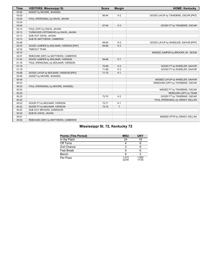| <b>Time</b> | <b>VISITORS: Mississippi St.</b>       | <b>Score</b> | <b>Margin</b>  | <b>HOME: Kentucky</b>                |
|-------------|----------------------------------------|--------------|----------------|--------------------------------------|
| 03:45       | ASSIST by MOORE, SHAKEEL               |              |                |                                      |
| 03:25       |                                        | 66-64        | H <sub>2</sub> | GOOD! LAYUP by TSHIEBWE, OSCAR [PNT] |
| 03:25       | FOUL (PERSONAL) by DAVIS, JAVIAN       |              |                |                                      |
| 03:24       |                                        |              |                |                                      |
| 03:24       |                                        | 67-64        | $H_3$          | GOOD! FT by TSHIEBWE, OSCAR          |
| 03:13       | FOUL (OFF) by DAVIS, JAVIAN            |              |                |                                      |
| 03:13       | TURNOVER (OFFENSIVE) by DAVIS, JAVIAN  |              |                |                                      |
| 03:13       | SUB OUT: DAVIS, JAVIAN                 |              |                |                                      |
| 03:13       | SUB IN: MATTHEWS, CAMERON              |              |                |                                      |
| 02:49       |                                        | 69-64        | H <sub>5</sub> | GOOD! LAYUP by WHEELER, SAHVIR [PNT] |
| 02:33       | GOOD! JUMPER by MOLINAR, IVERSON [PNT] | 69-66        | $H_3$          |                                      |
| 02:32       | <b>TIMEOUT TEAM</b>                    |              |                |                                      |
| 02:10       |                                        |              |                | MISSED JUMPER by BROOKS JR., KEION   |
| 02:07       | REBOUND (DEF) by MATTHEWS, CAMERON     |              |                |                                      |
| 01:43       | GOOD! JUMPER by MOLINAR, IVERSON       | 69-68        | H <sub>1</sub> |                                      |
| 01:18       | FOUL (PERSONAL) by MOLINAR, IVERSON    |              |                |                                      |
| 01:18       |                                        | 70-68        | H <sub>2</sub> | GOOD! FT by WHEELER, SAHVIR          |
| 01:18       |                                        | 71-68        | $H_3$          | GOOD! FT by WHEELER, SAHVIR          |
| 00:58       | GOOD! LAYUP by MOLINAR, IVERSON [PNT]  | 71-70        | H <sub>1</sub> |                                      |
| 00:58       | ASSIST by MOORE, SHAKEEL               |              |                |                                      |
| 00:34       |                                        |              |                | MISSED LAYUP by WHEELER, SAHVIR      |
| 00:33       |                                        |              |                | REBOUND (OFF) by TSHIEBWE, OSCAR     |
| 00:33       | FOUL (PERSONAL) by MOORE, SHAKEEL      |              |                |                                      |
| 00:33       |                                        |              |                | MISSED FT by TSHIEBWE, OSCAR         |
| 00:33       |                                        |              |                | REBOUND (OFF) by TEAM                |
| 00:33       |                                        | 72-70        | H <sub>2</sub> | GOOD! FT by TSHIEBWE, OSCAR          |
| 00:22       |                                        |              |                | FOUL (PERSONAL) by GRADY, KELLAN     |
| 00:22       | GOOD! FT by MOLINAR, IVERSON           | 72-71        | H <sub>1</sub> |                                      |
| 00:22       | GOOD! FT by MOLINAR, IVERSON           | 72-72        | $\mathsf{T}$   |                                      |
| 00:22       | SUB OUT: BROOKS, GARRISON              |              |                |                                      |
| 00:22       | SUB IN: DAVIS, JAVIAN                  |              |                |                                      |
| 00:01       |                                        |              |                | MISSED 3PTR by GRADY, KELLAN         |
| 00:00       | REBOUND (DEF) by MATTHEWS, CAMERON     |              |                |                                      |

### **Mississippi St. 72, Kentucky 72**

| <b>Points (This Period)</b> | <b>MSU</b>    | <b>UKY</b>     |
|-----------------------------|---------------|----------------|
| In the Paint                | 24            | 18             |
| Off Turns                   |               |                |
| 2nd Chance                  |               |                |
| <b>Fast Break</b>           |               |                |
| Bench                       |               |                |
| Per Poss                    | 1412<br>22/34 | 1.000<br>17/35 |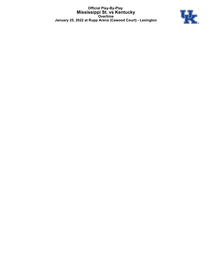**Official Play-By-Play Mississippi St. vs Kentucky Overtime January 25, 2022 at Rupp Arena (Cawood Court) - Lexington**

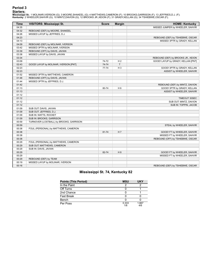### **Period 3**

<mark>Starters:</mark><br>Mississippi St.: 1 MOLINAR,IVERSON (G); 3 MOORE,SHAKEEL (G); 4 MATTHEWS,CAMERON (F); 10 BROOKS,GARRISON (F); 13 JEFFRIES,D.J. (F);<br>**Kentucky**: 2 WHEELER,SAHVIR (G); 10 MINTZ,DAVION (G); 12 BROOKS JR.,KEION (F);

| <b>Time</b> | <b>VISITORS: Mississippi St.</b>        | <b>Score</b> | <b>Margin</b>  | <b>HOME: Kentucky</b>              |
|-------------|-----------------------------------------|--------------|----------------|------------------------------------|
| 04:35       |                                         |              |                | MISSED JUMPER by WHEELER, SAHVIR   |
| 04:32       | REBOUND (DEF) by MOORE, SHAKEEL         |              |                |                                    |
| 04:26       | MISSED LAYUP by JEFFRIES, D.J.          |              |                |                                    |
| 04:23       |                                         |              |                | REBOUND (DEF) by TSHIEBWE, OSCAR   |
| 04:13       |                                         |              |                | MISSED 3PTR by GRADY, KELLAN       |
| 04:09       | REBOUND (DEF) by MOLINAR, IVERSON       |              |                |                                    |
| 03:42       | MISSED 3PTR by MOLINAR, IVERSON         |              |                |                                    |
| 03:39       | REBOUND (OFF) by DAVIS, JAVIAN          |              |                |                                    |
| 03:38       | MISSED LAYUP by DAVIS, JAVIAN           |              |                |                                    |
| 03:34       |                                         |              |                | REBOUND (DEF) by BROOKS JR., KEION |
| 03:09       |                                         | 74-72        | H <sub>2</sub> | GOOD! LAYUP by GRADY, KELLAN [PNT] |
| 02:43       | GOOD! LAYUP by MOLINAR, IVERSON [PNT]   | 74-74        | T.             |                                    |
| 02:23       |                                         | 77-74        | $H_3$          | GOOD! 3PTR by GRADY, KELLAN        |
| 02:23       |                                         |              |                | ASSIST by WHEELER, SAHVIR          |
| 01:52       | MISSED 3PTR by MATTHEWS, CAMERON        |              |                |                                    |
| 01:48       | REBOUND (OFF) by DAVIS, JAVIAN          |              |                |                                    |
| 01:44       | MISSED 3PTR by JEFFRIES, D.J.           |              |                |                                    |
| 01:42       |                                         |              |                | REBOUND (DEF) by MINTZ, DAVION     |
| 01:13       |                                         | 80-74        | H <sub>6</sub> | GOOD! 3PTR by GRADY, KELLAN        |
| 01:13       |                                         |              |                | ASSIST by WHEELER, SAHVIR          |
| 01:12       |                                         |              |                |                                    |
| 01:12       |                                         |              |                | TIMEOUT 30SEC                      |
| 01:12       |                                         |              |                | SUB OUT: MINTZ, DAVION             |
| 01:12       |                                         |              |                | SUB IN: TOPPIN, JACOB              |
| 01:09       | SUB OUT: DAVIS, JAVIAN                  |              |                |                                    |
| 01:09       | SUB OUT: JEFFRIES, D.J.                 |              |                |                                    |
| 01:09       | SUB IN: WATTS, ROCKET                   |              |                |                                    |
| 01:09       | SUB IN: BROOKS, GARRISON                |              |                |                                    |
| 00:59       | TURNOVER (LOSTBALL) by BROOKS, GARRISON |              |                |                                    |
| 00:59       |                                         |              |                | STEAL by WHEELER, SAHVIR           |
| 00:38       | FOUL (PERSONAL) by MATTHEWS, CAMERON    |              |                |                                    |
| 00:38       |                                         | 81-74        | H <sub>7</sub> | GOOD! FT by WHEELER, SAHVIR        |
| 00:38       |                                         |              |                | MISSED FT by WHEELER, SAHVIR       |
| 00:38       |                                         |              |                | REBOUND (OFF) by TSHIEBWE, OSCAR   |
| 00:29       | FOUL (PERSONAL) by MATTHEWS, CAMERON    |              |                |                                    |
| 00:29       | SUB OUT: MATTHEWS, CAMERON              |              |                |                                    |
| 00:29       | SUB IN: DAVIS, JAVIAN                   |              |                |                                    |
| 00:29       |                                         | 82-74        | H <sub>8</sub> | GOOD! FT by WHEELER, SAHVIR        |
| 00:29       |                                         |              |                | MISSED FT by WHEELER, SAHVIR       |
| 00:29       | REBOUND (DEF) by TEAM                   |              |                |                                    |
| 00:19       | MISSED LAYUP by MOLINAR, IVERSON        |              |                |                                    |
| 00:16       |                                         |              |                | REBOUND (DEF) by TSHIEBWE, OSCAR   |

### **Mississippi St. 74, Kentucky 82**

| Points (This Period) | <b>MSU</b>   | <b>UKY</b>   |
|----------------------|--------------|--------------|
| In the Paint         |              |              |
| Off Turns            |              |              |
| 2nd Chance           |              |              |
| Fast Break           |              |              |
| Bench                |              |              |
| Per Poss             | 0.333<br>1/6 | 1.667<br>4/6 |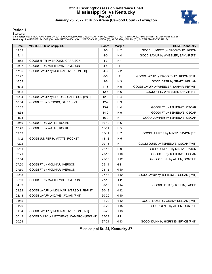### **Official Scoring/Possession Reference Chart Mississippi St. vs Kentucky Period 1 January 25, 2022 at Rupp Arena (Cawood Court) - Lexington**



#### **Period 1**

#### **Starters:**

Mississippi St.: 1 MOLINAR,IVERSON (G); 3 MOORE,SHAKEEL (G); 4 MATTHEWS,CAMERON (F); 10 BROOKS,GARRISON (F); 13 JEFFRIES,D.J. (F);<br>Kentucky: 2 WHEELER,SAHVIR (G); 10 MINTZ,DAVION (G); 12 BROOKS JR.,KEION (F); 31 GRADY,KELL

| <b>Time</b> | <b>VISITORS: Mississippi St.</b>         | <b>Score</b> | <b>Margin</b>  | <b>HOME: Kentucky</b>                   |
|-------------|------------------------------------------|--------------|----------------|-----------------------------------------|
| 19:39       |                                          | $2 - 0$      | H <sub>2</sub> | GOOD! JUMPER by BROOKS JR., KEION       |
| 19:11       |                                          | $4 - 0$      | H <sub>4</sub> | GOOD! LAYUP by WHEELER, SAHVIR [FB]     |
| 18:52       | GOOD! 3PTR by BROOKS, GARRISON           | $4 - 3$      | H <sub>1</sub> |                                         |
| 18:17       | GOOD! FT by MATTHEWS, CAMERON            | $4 - 4$      | $\mathsf{T}$   |                                         |
| 17:35       | GOOD! LAYUP by MOLINAR, IVERSON [FB]     | $4-6$        | V <sub>2</sub> |                                         |
| 17:27       |                                          | $6-6$        | $\mathsf{T}$   | GOOD! LAYUP by BROOKS JR., KEION [PNT]  |
| 16:52       |                                          | $9-6$        | $H_3$          | GOOD! 3PTR by GRADY, KELLAN             |
| 16:12       |                                          | $11 - 6$     | H <sub>5</sub> | GOOD! LAYUP by WHEELER, SAHVIR [FB/PNT] |
| 16:12       |                                          | $12-6$       | H <sub>6</sub> | GOOD! FT by WHEELER, SAHVIR [FB]        |
| 16:04       | GOOD! LAYUP by BROOKS, GARRISON [PNT]    | $12 - 8$     | H <sub>4</sub> |                                         |
| 16:04       | GOOD! FT by BROOKS, GARRISON             | $12-9$       | H <sub>3</sub> |                                         |
| 15:35       |                                          | $13-9$       | H 4            | GOOD! FT by TSHIEBWE, OSCAR             |
| 15:35       |                                          | $14-9$       | H <sub>5</sub> | GOOD! FT by TSHIEBWE, OSCAR             |
| 14:03       |                                          | $16-9$       | H <sub>7</sub> | GOOD! JUMPER by TSHIEBWE, OSCAR         |
| 13:40       | GOOD! FT by WATTS, ROCKET                | $16 - 10$    | H <sub>6</sub> |                                         |
| 13:40       | GOOD! FT by WATTS, ROCKET                | $16-11$      | H <sub>5</sub> |                                         |
| 12:12       |                                          | $18-11$      | H <sub>7</sub> | GOOD! JUMPER by MINTZ, DAVION [FB]      |
| 11:42       | GOOD! JUMPER by WATTS, ROCKET            | 18-13        | H <sub>5</sub> |                                         |
| 10:22       |                                          | $20-13$      | H <sub>7</sub> | GOOD! DUNK by TSHIEBWE, OSCAR [PNT]     |
| 09:51       |                                          | $22 - 13$    | H 9            | GOOD! JUMPER by MINTZ, DAVION           |
| 09:21       |                                          | 23-13        | H 10           | GOOD! FT by TSHIEBWE, OSCAR             |
| 07:54       |                                          | $25-13$      | H 12           | GOOD! DUNK by ALLEN, DONTAIE            |
| 07:50       | GOOD! FT by MOLINAR, IVERSON             | $25 - 14$    | H 11           |                                         |
| 07:50       | GOOD! FT by MOLINAR, IVERSON             | $25 - 15$    | H 10           |                                         |
| 06:13       |                                          | $27-15$      | H 12           | GOOD! LAYUP by TSHIEBWE, OSCAR [PNT]    |
| 05:50       | GOOD! FT by MATTHEWS, CAMERON            | $27-16$      | H 11           |                                         |
| 04:39       |                                          | $30 - 16$    | H 14           | GOOD! 3PTR by TOPPIN, JACOB             |
| 03:32       | GOOD! LAYUP by MOLINAR, IVERSON [FB/PNT] | $30 - 18$    | H 12           |                                         |
| 02:18       | GOOD! LAYUP by DAVIS, JAVIAN [PNT]       | 30-20        | H 10           |                                         |
| 01:55       |                                          | 32-20        | H 12           | GOOD! LAYUP by GRADY, KELLAN [PNT]      |
| 01:29       |                                          | 35-20        | H 15           | GOOD! 3PTR by ALLEN, DONTAIE            |
| 01:04       | GOOD! LAYUP by MOLINAR, IVERSON [PNT]    | 35-22        | H 13           |                                         |
| 00:43       | GOOD! DUNK by MATTHEWS, CAMERON [FB/PNT] | 35-24        | H 11           |                                         |
| 00:04       |                                          | 37-24        | H 13           | GOOD! DUNK by HOPKINS, BRYCE [PNT]      |

**Mississippi St. 24, Kentucky 37**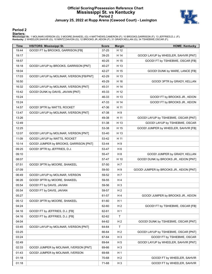### **Official Scoring/Possession Reference Chart Mississippi St. vs Kentucky Period 2 January 25, 2022 at Rupp Arena (Cawood Court) - Lexington**



#### **Period 2**

#### **Starters:**

Mississippi St.: 1 MOLINAR,IVERSON (G); 3 MOORE,SHAKEEL (G); 4 MATTHEWS,CAMERON (F); 10 BROOKS,GARRISON (F); 13 JEFFRIES,D.J. (F);<br>Kentucky: 2 WHEELER,SAHVIR (G); 10 MINTZ,DAVION (G); 12 BROOKS JR.,KEION (F); 31 GRADY,KELL

| Time  | <b>VISITORS: Mississippi St.</b>         | <b>Score</b> | <b>Margin</b>  | <b>HOME: Kentucky</b>                   |
|-------|------------------------------------------|--------------|----------------|-----------------------------------------|
| 19:44 | GOOD! FT by BROOKS, GARRISON [FB]        | 37-25        | H 12           |                                         |
| 19:17 |                                          | 39-25        | H 14           | GOOD! LAYUP by WHEELER, SAHVIR [PNT]    |
| 18:57 |                                          | 40-25        | H 15           | GOOD! FT by TSHIEBWE, OSCAR [FB]        |
| 18:18 | GOOD! LAYUP by BROOKS, GARRISON [PNT]    | 40-27        | H 13           |                                         |
| 18:04 |                                          | 42-27        | H 15           | GOOD! DUNK by WARE, LANCE [FB]          |
| 17:03 | GOOD! LAYUP by MOLINAR, IVERSON [FB/PNT] | 42-29        | H 13           |                                         |
| 16:50 |                                          | 45-29        | H 16           | GOOD! 3PTR by GRADY, KELLAN             |
| 16:32 | GOOD! LAYUP by MOLINAR, IVERSON [PNT]    | 45-31        | H 14           |                                         |
| 15:42 | GOOD! DUNK by DAVIS, JAVIAN [PNT]        | 45-33        | H 12           |                                         |
| 15:24 |                                          | 46-33        | H 13           | GOOD! FT by BROOKS JR., KEION           |
| 15:24 |                                          | 47-33        | H 14           | GOOD! FT by BROOKS JR., KEION           |
| 14:57 | GOOD! 3PTR by WATTS, ROCKET              | 47-36        | H 11           |                                         |
| 13:47 | GOOD! LAYUP by MOLINAR, IVERSON [PNT]    | 47-38        | H 9            |                                         |
| 13:26 |                                          | 49-38        | H 11           | GOOD! LAYUP by TSHIEBWE, OSCAR [PNT]    |
| 12:49 |                                          | 51-38        | H 13           | GOOD! LAYUP by TSHIEBWE, OSCAR          |
| 12:25 |                                          | 53-38        | H 15           | GOOD! JUMPER by WHEELER, SAHVIR [FB]    |
| 12:07 | GOOD! LAYUP by MOLINAR, IVERSON [PNT]    | 53-40        | H 13           |                                         |
| 11:09 | GOOD! LAYUP by WATTS, ROCKET             | 53-42        | H 11           |                                         |
| 10:14 | GOOD! JUMPER by BROOKS, GARRISON [PNT]   | 53-44        | H9             |                                         |
| 09:25 | GOOD! 3PTR by JEFFRIES, D.J.             | 53-47        | H <sub>6</sub> |                                         |
| 09:10 |                                          | 55-47        | H <sub>8</sub> | GOOD! JUMPER by GRADY, KELLAN           |
| 08:07 |                                          | 57-47        | H 10           | GOOD! DUNK by BROOKS JR., KEION [PNT]   |
| 07:51 | GOOD! 3PTR by MOORE, SHAKEEL             | 57-50        | H 7            |                                         |
| 07:09 |                                          | 59-50        | H9             | GOOD! JUMPER by BROOKS JR., KEION [PNT] |
| 06:49 | GOOD! LAYUP by MOLINAR, IVERSON          | 59-52        | H 7            |                                         |
| 06:26 | GOOD! 3PTR by MOORE, SHAKEEL             | 59-55        | H 4            |                                         |
| 05:54 | GOOD! FT by DAVIS, JAVIAN                | 59-56        | $H_3$          |                                         |
| 05:54 | GOOD! FT by DAVIS, JAVIAN                | 59-57        | H <sub>2</sub> |                                         |
| 05:27 |                                          | 61-57        | H 4            | GOOD! JUMPER by BROOKS JR., KEION       |
| 05:12 | GOOD! 3PTR by MOORE, SHAKEEL             | 61-60        | H <sub>1</sub> |                                         |
| 04:24 |                                          | 62-60        | H <sub>2</sub> | GOOD! FT by TSHIEBWE, OSCAR [FB]        |
| 04:16 | GOOD! FT by JEFFRIES, D.J. [FB]          | 62-61        | H <sub>1</sub> |                                         |
| 04:16 | GOOD! FT by JEFFRIES, D.J. [FB]          | 62-62        | $\mathsf T$    |                                         |
| 04:04 |                                          | 64-62        | H <sub>2</sub> | GOOD! DUNK by TSHIEBWE, OSCAR [PNT]     |
| 03:45 | GOOD! LAYUP by MOLINAR, IVERSON [PNT]    | 64-64        | $\mathsf T$    |                                         |
| 03:25 |                                          | 66-64        | H <sub>2</sub> | GOOD! LAYUP by TSHIEBWE, OSCAR [PNT]    |
| 03:24 |                                          | 67-64        | $H_3$          | GOOD! FT by TSHIEBWE, OSCAR             |
| 02:49 |                                          | 69-64        | H <sub>5</sub> | GOOD! LAYUP by WHEELER, SAHVIR [PNT]    |
| 02:33 | GOOD! JUMPER by MOLINAR, IVERSON [PNT]   | 69-66        | $H_3$          |                                         |
| 01:43 | GOOD! JUMPER by MOLINAR, IVERSON         | 69-68        | H <sub>1</sub> |                                         |
| 01:18 |                                          | 70-68        | H <sub>2</sub> | GOOD! FT by WHEELER, SAHVIR             |
| 01:18 |                                          | 71-68        | H <sub>3</sub> | GOOD! FT by WHEELER, SAHVIR             |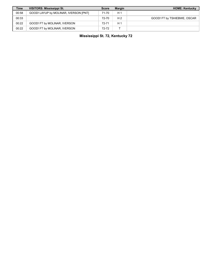| <b>Time</b> | <b>VISITORS: Mississippi St.</b>      | <b>Score</b> | <b>Margin</b>  | <b>HOME: Kentucky</b>       |
|-------------|---------------------------------------|--------------|----------------|-----------------------------|
| 00:58       | GOOD! LAYUP by MOLINAR, IVERSON [PNT] | 71-70        | н.             |                             |
| 00:33       |                                       | 72-70        | H <sub>2</sub> | GOOD! FT by TSHIEBWE, OSCAR |
| 00:22       | GOOD! FT by MOLINAR, IVERSON          | 72-71        | $H^+$          |                             |
| 00:22       | GOOD! FT by MOLINAR, IVERSON          | 72-72        |                |                             |

## **Mississippi St. 72, Kentucky 72**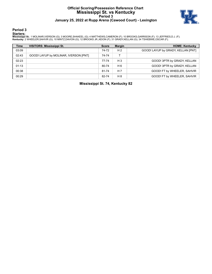### **Official Scoring/Possession Reference Chart Mississippi St. vs Kentucky Period 3 January 25, 2022 at Rupp Arena (Cawood Court) - Lexington**



**Period 3**

#### **Starters:**

Mississippi St.: 1 MOLINAR,IVERSON (G); 3 MOORE,SHAKEEL (G); 4 MATTHEWS,CAMERON (F); 10 BROOKS,GARRISON (F); 13 JEFFRIES,D.J. (F);<br>Kentucky: 2 WHEELER,SAHVIR (G); 10 MINTZ,DAVION (G); 12 BROOKS JR.,KEION (F); 31 GRADY,KELL

| <b>Time</b> | <b>VISITORS: Mississippi St.</b>      | <b>Score</b> | <b>Margin</b>  | <b>HOME: Kentucky</b>              |
|-------------|---------------------------------------|--------------|----------------|------------------------------------|
| 03:09       |                                       | 74-72        | H <sub>2</sub> | GOOD! LAYUP by GRADY, KELLAN [PNT] |
| 02:43       | GOOD! LAYUP by MOLINAR, IVERSON [PNT] | 74-74        |                |                                    |
| 02:23       |                                       | 77-74        | $H_3$          | GOOD! 3PTR by GRADY, KELLAN        |
| 01:13       |                                       | 80-74        | H 6            | GOOD! 3PTR by GRADY, KELLAN        |
| 00:38       |                                       | 81-74        | H <sub>7</sub> | GOOD! FT by WHEELER, SAHVIR        |
| 00:29       |                                       | 82-74        | $H_8$          | GOOD! FT by WHEELER, SAHVIR        |

**Mississippi St. 74, Kentucky 82**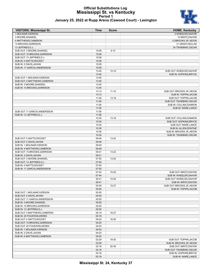#### **Official Substitutions Log Mississippi St. vs Kentucky Period 1 January 25, 2022 at Rupp Arena (Cawood Court) - Lexington**



| January 25, 2022 at Rupp Arena (Cawood Court) - Lexingtor |  |  |
|-----------------------------------------------------------|--|--|
|-----------------------------------------------------------|--|--|

| <b>VISITORS: Mississippi St.</b>                          | <b>Time</b>    | <b>Score</b> | <b>HOME: Kentucky</b>                                |
|-----------------------------------------------------------|----------------|--------------|------------------------------------------------------|
| 1 MOLINAR, IVERSON                                        |                |              | 2 WHEELER, SAHVIR                                    |
| 3 MOORE, SHAKEEL                                          |                |              | 10 MINTZ, DAVION                                     |
| 4 MATTHEWS, CAMERON                                       |                |              | 12 BROOKS JR., KEION                                 |
| 10 BROOKS, GARRISON                                       |                |              | 31 GRADY, KELLAN                                     |
| 13 JEFFRIES, D.J.                                         |                |              | 34 TSHIEBWE, OSCAR                                   |
| SUB OUT: 3 MOORE, SHAKEEL                                 | 15:09          | $9 - 14$     |                                                      |
| SUB OUT: 10 BROOKS, GARRISON                              | 15:09          |              |                                                      |
| SUB OUT: 13 JEFFRIES, D.J.<br>SUB IN: 0 WATTS, ROCKET     | 15:09<br>15:09 |              |                                                      |
| SUB IN: 2 DAVIS, JAVIAN                                   | 15:09          |              |                                                      |
| SUB IN: 11 GARCIA, ANDERSSON                              | 15:09          |              |                                                      |
|                                                           | 13:40          | $10 - 16$    | SUB OUT: WHEELER, SAHVIR                             |
|                                                           | 13:40          |              | SUB IN: HOPKINS, BRYCE                               |
| SUB OUT: 1 MOLINAR, IVERSON                               | 13:40          |              |                                                      |
| SUB OUT: 4 MATTHEWS, CAMERON                              | 13:40          |              |                                                      |
| SUB IN: 3 MOORE, SHAKEEL                                  | 13:40          |              |                                                      |
| SUB IN: 10 BROOKS, GARRISON                               | 13:40          |              |                                                      |
|                                                           | 13:13          | $11 - 16$    | SUB OUT: BROOKS JR., KEION                           |
|                                                           | 13:13          |              | SUB IN: TOPPIN, JACOB                                |
|                                                           | 11:09          | $13 - 18$    | SUB OUT: TOPPIN, JACOB                               |
|                                                           | 11:09<br>11:09 |              | SUB OUT: TSHIEBWE, OSCAR<br>SUB IN: COLLINS, DAIMION |
|                                                           | 11:09          |              | SUB IN: WARE, LANCE                                  |
| SUB OUT: 11 GARCIA, ANDERSSON                             | 11:09          |              |                                                      |
| SUB IN: 13 JEFFRIES, D.J.                                 | 11:09          |              |                                                      |
|                                                           | 10:30          | $13 - 18$    | SUB OUT: COLLINS, DAIMION                            |
|                                                           | 10:30          |              | SUB OUT: HOPKINS, BRYCE                              |
|                                                           | 10:30          |              | SUB OUT: WARE, LANCE                                 |
|                                                           | 10:30          |              | SUB IN: ALLEN, DONTAIE                               |
|                                                           | 10:30          |              | SUB IN: BROOKS JR., KEION                            |
|                                                           | 10:30          |              | SUB IN: TSHIEBWE, OSCAR                              |
| SUB OUT: 0 WATTS, ROCKET                                  | 09:49          | 13-22        |                                                      |
| SUB OUT: 2 DAVIS, JAVIAN                                  | 09:49          |              |                                                      |
| SUB IN: 1 MOLINAR, IVERSON<br>SUB IN: 4 MATTHEWS, CAMERON | 09:49<br>09:49 |              |                                                      |
| SUB OUT: 10 BROOKS, GARRISON                              | 09:21          | 13-23        |                                                      |
| SUB IN: 2 DAVIS, JAVIAN                                   | 09:21          |              |                                                      |
| SUB OUT: 3 MOORE, SHAKEEL                                 | 07:50          | 13-25        |                                                      |
| SUB OUT: 13 JEFFRIES, D.J.                                | 07:50          |              |                                                      |
| SUB IN: 0 WATTS, ROCKET                                   | 07:50          |              |                                                      |
| SUB IN: 11 GARCIA, ANDERSSON                              | 07:50          |              |                                                      |
|                                                           | 07:44          | $15 - 25$    | SUB OUT: MINTZ, DAVION                               |
|                                                           | 07:44          |              | SUB IN: WHEELER, SAHVIR                              |
|                                                           | 06:41          | 15-25        | SUB OUT: WHEELER, SAHVIR                             |
|                                                           | 06:41          |              | SUB IN: MINTZ, DAVION                                |
|                                                           | 05:50          | 15-27        | SUB OUT: BROOKS JR., KEION<br>SUB IN: TOPPIN, JACOB  |
| SUB OUT: 1 MOLINAR, IVERSON                               | 05:50<br>05:50 |              |                                                      |
| SUB OUT: 2 DAVIS, JAVIAN                                  | 05:50          |              |                                                      |
| SUB OUT: 11 GARCIA, ANDERSSON                             | 05:50          |              |                                                      |
| SUB IN: 3 MOORE, SHAKEEL                                  | 05:50          |              |                                                      |
| SUB IN: 10 BROOKS, GARRISON                               | 05:50          |              |                                                      |
| SUB IN: 13 JEFFRIES, D.J.                                 | 05:50          |              |                                                      |
| SUB OUT: 4 MATTHEWS, CAMERON                              | 05:19          | 16-27        |                                                      |
| SUB IN: 20 FOUNTAIN, DEREK                                | 05:19          |              |                                                      |
| SUB OUT: 0 WATTS, ROCKET                                  | 04:03          | 16-30        |                                                      |
| SUB OUT: 10 BROOKS, GARRISON                              | 04:03          |              |                                                      |
| SUB OUT: 20 FOUNTAIN, DEREK                               | 04:03          |              |                                                      |
| SUB IN: 1 MOLINAR, IVERSON                                | 04:03          |              |                                                      |
| SUB IN: 2 DAVIS, JAVIAN                                   | 04:03          |              |                                                      |
| SUB IN: 4 MATTHEWS, CAMERON                               | 04:03<br>02:29 | 18-30        | SUB OUT: TOPPIN, JACOB                               |
|                                                           | 02:29          |              | SUB IN: BROOKS JR., KEION                            |
|                                                           | 02:18          | 20-30        | SUB OUT: MINTZ, DAVION                               |
|                                                           | 02:18          |              | SUB OUT: TSHIEBWE, OSCAR                             |
|                                                           | 02:18          |              | SUB IN: HOPKINS, BRYCE                               |
|                                                           | 02:18          |              | SUB IN: WARE, LANCE                                  |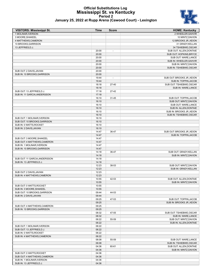### **Official Substitutions Log Mississippi St. vs Kentucky Period 2 January 25, 2022 at Rupp Arena (Cawood Court) - Lexington**



| <b>VISITORS: Mississippi St.</b> | Time           | <b>Score</b>             | <b>HOME: Kentucky</b>      |
|----------------------------------|----------------|--------------------------|----------------------------|
| 1 MOLINAR, IVERSON               |                |                          | 2 WHEELER, SAHVIR          |
| 3 MOORE, SHAKEEL                 |                |                          | 10 MINTZ, DAVION           |
| 4 MATTHEWS, CAMERON              |                |                          | 12 BROOKS JR., KEION       |
| 10 BROOKS, GARRISON              |                |                          | 31 GRADY, KELLAN           |
| 13 JEFFRIES.D.J.                 |                |                          | 34 TSHIEBWE, OSCAR         |
|                                  | 20:00          |                          | SUB OUT: ALLEN, DONTAIE    |
|                                  | 20:00          |                          | SUB OUT: HOPKINS, BRYCE    |
|                                  | 20:00          |                          | SUB OUT: WARE, LANCE       |
|                                  | 20:00          |                          | SUB IN: WHEELER, SAHVIR    |
|                                  | 20:00          |                          | SUB IN: MINTZ, DAVION      |
|                                  | 20:00          |                          | SUB IN: TSHIEBWE, OSCAR    |
| SUB OUT: 2 DAVIS, JAVIAN         | 20:00          |                          |                            |
| SUB IN: 10 BROOKS, GARRISON      | 20:00          |                          |                            |
|                                  | 19:44          | $\overline{\phantom{a}}$ | SUB OUT: BROOKS JR., KEION |
|                                  | 19:44          |                          | SUB IN: TOPPIN, JACOB      |
|                                  | 18:18          | $27 - 40$                | SUB OUT: TSHIEBWE, OSCAR   |
|                                  | 18:18          |                          | SUB IN: WARE, LANCE        |
| SUB OUT: 13 JEFFRIES,D.J.        | 17:18          | $27 - 42$                |                            |
| SUB IN: 11 GARCIA, ANDERSSON     | 17:18          |                          |                            |
|                                  | 16:10          | 31-45                    | SUB OUT: TOPPIN, JACOB     |
|                                  | 16:10          |                          | SUB OUT: MINTZ, DAVION     |
|                                  | 16:10          |                          | SUB OUT: WARE, LANCE       |
|                                  | 16:10          |                          | SUB IN: ALLEN, DONTAIE     |
|                                  | 16:10          |                          | SUB IN: BROOKS JR., KEION  |
|                                  | 16:10          |                          | SUB IN: TSHIEBWE, OSCAR    |
| SUB OUT: 1 MOLINAR, IVERSON      | 16:10          |                          |                            |
| SUB OUT: 10 BROOKS, GARRISON     | 16:10          |                          |                            |
| SUB IN: 0 WATTS, ROCKET          | 16:10          |                          |                            |
| SUB IN: 2 DAVIS, JAVIAN          | 16:10          |                          |                            |
|                                  | 14:47          | 36-47                    | SUB OUT: BROOKS JR., KEION |
|                                  | 14:47          |                          | SUB IN: TOPPIN, JACOB      |
| SUB OUT: 3 MOORE,SHAKEEL         | 14:47          |                          |                            |
| SUB OUT: 4 MATTHEWS,CAMERON      | 14:47          |                          |                            |
| SUB IN: 1 MOLINAR, IVERSON       | 14:47          |                          |                            |
| SUB IN: 10 BROOKS, GARRISON      | 14:47          |                          |                            |
|                                  | 14:18          | 36-47                    | SUB OUT: GRADY, KELLAN     |
|                                  | 14:18          |                          | SUB IN: MINTZ, DAVION      |
| SUB OUT: 11 GARCIA, ANDERSSON    | 14:18          |                          |                            |
| SUB IN: 13 JEFFRIES, D.J.        | 14:18          |                          |                            |
|                                  | 12:23          | 38-53                    | SUB OUT: MINTZ, DAVION     |
|                                  | 12:23          |                          | SUB IN: GRADY, KELLAN      |
| SUB OUT: 2 DAVIS, JAVIAN         | 12:23          |                          |                            |
| SUB IN: 4 MATTHEWS,CAMERON       | 12:23          |                          |                            |
|                                  | 10:55          | 42-53                    | SUB OUT: ALLEN, DONTAIE    |
|                                  | 10:55          |                          | SUB IN: MINTZ, DAVION      |
| SUB OUT: 0 WATTS, ROCKET         | 10:55          |                          |                            |
| SUB IN: 3 MOORE,SHAKEEL          | 10:55          |                          |                            |
| SUB OUT: 10 BROOKS, GARRISON     | 09:44          | 44-53                    |                            |
| SUB IN: 2 DAVIS, JAVIAN          |                |                          |                            |
|                                  | 09:44<br>09:25 | 47-53                    | SUB OUT: TOPPIN, JACOB     |
|                                  | 09:25          |                          | SUB IN: BROOKS JR., KEION  |
| SUB OUT: 4 MATTHEWS,CAMERON      | 09:25          |                          |                            |
| SUB IN: 10 BROOKS.GARRISON       | 09:25          |                          |                            |
|                                  | 08:32          |                          |                            |
|                                  |                | 47-55                    | SUB OUT: TSHIEBWE, OSCAR   |

| SUB IN: IU BRUUNS, GARRISUN  | UY.ZO |       |                          |
|------------------------------|-------|-------|--------------------------|
|                              | 08:32 | 47-55 | SUB OUT: TSHIEBWE, OSCAR |
|                              | 08:32 |       | SUB IN: WARE, LANCE      |
|                              | 06:22 | 55-59 | SUB OUT: MINTZ, DAVION   |
|                              | 06:22 |       | SUB IN: ALLEN, DONTAIE   |
| SUB OUT: 1 MOLINAR, IVERSON  | 06:22 |       |                          |
| SUB OUT: 13 JEFFRIES, D.J.   | 06:22 |       |                          |
| SUB IN: 0 WATTS, ROCKET      | 06:22 |       |                          |
| SUB IN: 4 MATTHEWS, CAMERON  | 06:22 |       |                          |
|                              | 06:08 | 55-59 | SUB OUT: WARE, LANCE     |
|                              | 06:08 |       | SUB IN: TSHIEBWE, OSCAR  |
|                              | 04:36 | 60-61 | SUB OUT: ALLEN.DONTAIE   |
|                              | 04:36 |       | SUB IN: MINTZ, DAVION    |
| SUB OUT: 0 WATTS.ROCKET      | 04:36 |       |                          |
| SUB OUT: 4 MATTHEWS, CAMERON | 04:36 |       |                          |
| SUB IN: 1 MOLINAR, IVERSON   | 04:36 |       |                          |
| SUB IN: 13 JEFFRIES, D.J.    | 04:36 |       |                          |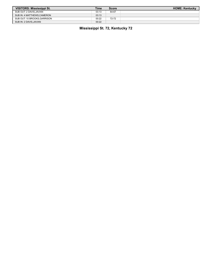| VISITORS: Mississippi St.   | Time  | <b>Score</b> | <b>HOME: Kentucky</b> |
|-----------------------------|-------|--------------|-----------------------|
| SUB OUT: 2 DAVIS.JAVIAN     | 03:13 | 64-67        |                       |
| SUB IN: 4 MATTHEWS.CAMERON  | 03:13 |              |                       |
| SUB OUT: 10 BROOKS.GARRISON | 00:22 | 72-72        |                       |
| SUB IN: 2 DAVIS, JAVIAN     | 00:22 |              |                       |

**Mississippi St. 72, Kentucky 72**